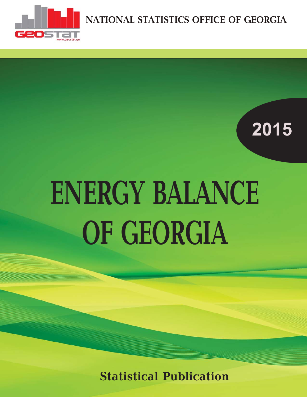

**NATIONAL STATISTICS OFFICE OF GEORGIA**

### **2015**

# **ENERGY BALANCE OF GEORGIA**

**Statistical Publication**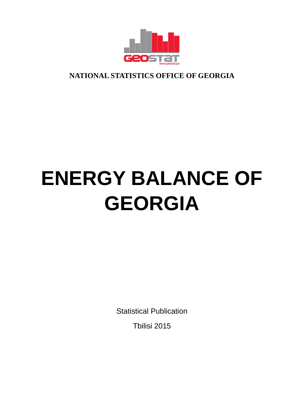

**NATIONAL STATISTICS OFFICE OF GEORGIA**

## **ENERGY BALANCE OF GEORGIA**

Statistical Publication

Tbilisi 2015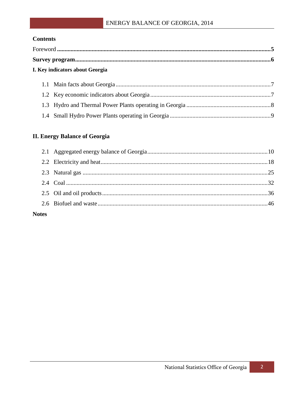#### **Contents**

| I. Key indicators about Georgia |
|---------------------------------|

#### **II. Energy Balance of Georgia**

| <b>Notes</b> |  |
|--------------|--|

#### National Statistics Office of Georgia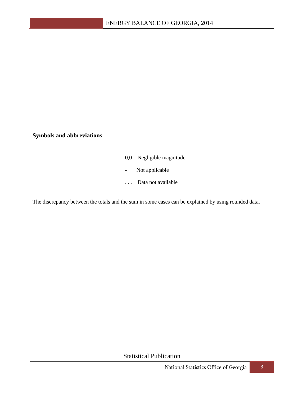**Symbols and abbreviations**

- 0,0 Negligible magnitude
- Not applicable
- . . . Data not available

The discrepancy between the totals and the sum in some cases can be explained by using rounded data.

Statistical Publication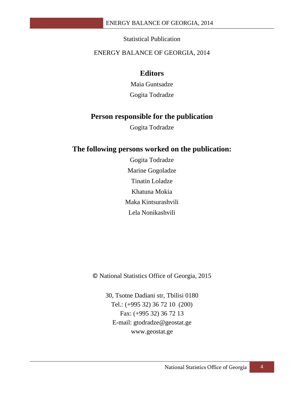#### Statistical Publication

#### ENERGY BALANCE OF GEORGIA, 2014

#### **Editors**

Maia Guntsadze Gogita Todradze

#### **Person responsible for the publication**

Gogita Todradze

#### **The following persons worked on the publication:**

Gogita Todradze Marine Gogoladze Tinatin Loladze Khatuna Mokia Maka Kintsurashvili Lela Nonikashvili

© National Statistics Office of Georgia, 2015

30, Tsotne Dadiani str, Tbilisi 0180 Tel.: (+995 32) 36 72 10 (200) Fax: (+995 32) 36 72 13 E-mail: gtodradze@geostat.ge www.geostat.ge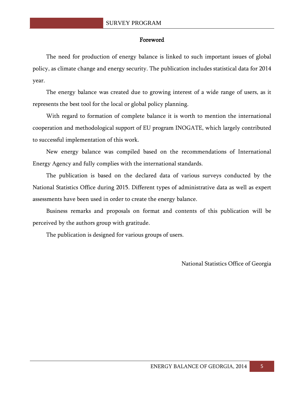#### Foreword

The need for production of energy balance is linked to such important issues of global policy, as climate change and energy security. The publication includes statistical data for 2014 year.

The energy balance was created due to growing interest of a wide range of users, as it represents the best tool for the local or global policy planning.

With regard to formation of complete balance it is worth to mention the international cooperation and methodological support of EU program INOGATE, which largely contributed to successful implementation of this work.

New energy balance was compiled based on the recommendations of International Energy Agency and fully complies with the international standards.

The publication is based on the declared data of various surveys conducted by the National Statistics Office during 2015. Different types of administrative data as well as expert assessments have been used in order to create the energy balance.

Business remarks and proposals on format and contents of this publication will be perceived by the authors group with gratitude.

The publication is designed for various groups of users.

National Statistics Office of Georgia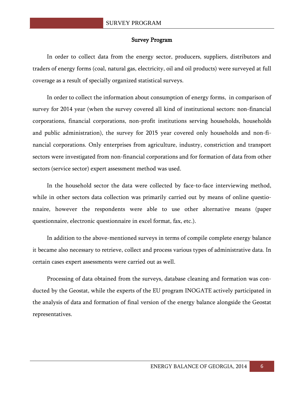#### Survey Program

In order to collect data from the energy sector, producers, suppliers, distributors and traders of energy forms (coal, natural gas, electricity, oil and oil products) were surveyed at full coverage as a result of specially organized statistical surveys.

In order to collect the information about consumption of energy forms, in comparison of survey for 2014 year (when the survey covered all kind of institutional sectors: non-financial corporations, financial corporations, non-profit institutions serving households, households and public administration), the survey for 2015 year covered only households and non-financial corporations. Only enterprises from agriculture, industry, constriction and transport sectors were investigated from non-financial corporations and for formation of data from other sectors (service sector) expert assessment method was used.

In the household sector the data were collected by face-to-face interviewing method, while in other sectors data collection was primarily carried out by means of online questionnaire, however the respondents were able to use other alternative means (paper questionnaire, electronic questionnaire in excel format, fax, etc.).

In addition to the above-mentioned surveys in terms of compile complete energy balance it became also necessary to retrieve, collect and process various types of administrative data. In certain cases expert assessments were carried out as well.

Processing of data obtained from the surveys, database cleaning and formation was conducted by the Geostat, while the experts of the EU program INOGATE actively participated in the analysis of data and formation of final version of the energy balance alongside the Geostat representatives.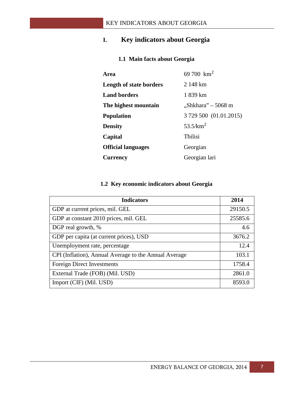#### **I. Key indicators about Georgia**

#### **1.1 Main facts about Georgia**

| Area                           | 69 700 $\rm km^2$      |
|--------------------------------|------------------------|
| <b>Length of state borders</b> | 2 148 km               |
| <b>Land borders</b>            | 1 839 km               |
| The highest mountain           | "Shkhara" – 5068 m     |
| <b>Population</b>              | 3 729 500 (01.01.2015) |
| <b>Density</b>                 | 53.5/km <sup>2</sup>   |
| Capital                        | <b>Thilisi</b>         |
| <b>Official languages</b>      | Georgian               |
| <b>Currency</b>                | Georgian lari          |

#### **1.2 Key economic indicators about Georgia**

| <b>Indicators</b>                                     | 2014    |
|-------------------------------------------------------|---------|
| GDP at current prices, mil. GEL                       | 29150.5 |
| GDP at constant 2010 prices, mil. GEL                 | 25585.6 |
| DGP real growth, %                                    | 4.6     |
| GDP per capita (at current prices), USD               | 3676.2  |
| Unemployment rate, percentage                         | 12.4    |
| CPI (Inflation), Annual Average to the Annual Average | 103.1   |
| Foreign Direct Investments                            | 1758.4  |
| External Trade (FOB) (Mil. USD)                       | 2861.0  |
| Import (CIF) (Mil. USD)                               | 8593.0  |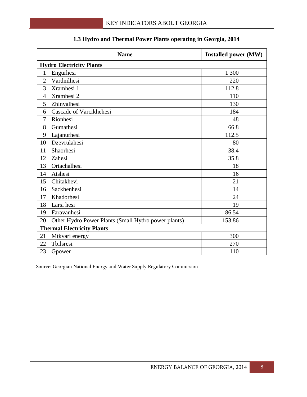|                | <b>Name</b>                                         | <b>Installed power (MW)</b> |  |  |  |  |  |  |  |
|----------------|-----------------------------------------------------|-----------------------------|--|--|--|--|--|--|--|
|                | <b>Hydro Electricity Plants</b>                     |                             |  |  |  |  |  |  |  |
| $\mathbf{1}$   | Engurhesi                                           | 1 300                       |  |  |  |  |  |  |  |
| $\overline{2}$ | Vardnilhesi                                         | 220                         |  |  |  |  |  |  |  |
| 3              | Xramhesi 1                                          | 112.8                       |  |  |  |  |  |  |  |
| $\overline{4}$ | Xramhesi 2                                          | 110                         |  |  |  |  |  |  |  |
| 5              | Zhinvalhesi                                         | 130                         |  |  |  |  |  |  |  |
| 6              | Cascade of Varcikhehesi                             | 184                         |  |  |  |  |  |  |  |
| 7              | Rionhesi                                            | 48                          |  |  |  |  |  |  |  |
| 8              | Gumathesi                                           | 66.8                        |  |  |  |  |  |  |  |
| 9              | Lajanurhesi                                         | 112.5                       |  |  |  |  |  |  |  |
| 10             | Dzevrulahesi                                        | 80                          |  |  |  |  |  |  |  |
| 11             | Shaorhesi                                           | 38.4                        |  |  |  |  |  |  |  |
| 12             | Zahesi                                              | 35.8                        |  |  |  |  |  |  |  |
| 13             | Ortachalhesi                                        | 18                          |  |  |  |  |  |  |  |
| 14             | Atshesi                                             | 16                          |  |  |  |  |  |  |  |
| 15             | Chitakhevi                                          | 21                          |  |  |  |  |  |  |  |
| 16             | Sackhenhesi                                         | 14                          |  |  |  |  |  |  |  |
| 17             | Khadorhesi                                          | 24                          |  |  |  |  |  |  |  |
| 18             | Larsi hesi                                          | 19                          |  |  |  |  |  |  |  |
| 19             | Faravanhesi                                         | 86.54                       |  |  |  |  |  |  |  |
| 20             | Other Hydro Power Plants (Small Hydro power plants) | 153.86                      |  |  |  |  |  |  |  |
|                | <b>Thermal Electricity Plants</b>                   |                             |  |  |  |  |  |  |  |
| 21             | Mtkvari energy                                      | 300                         |  |  |  |  |  |  |  |
| 22             | Tbilsresi                                           | 270                         |  |  |  |  |  |  |  |
| 23             | Gpower                                              | 110                         |  |  |  |  |  |  |  |

#### **1.3 Hydro and Thermal Power Plants operating in Georgia, 2014**

Source: Georgian National Energy and Water Supply Regulatory Commission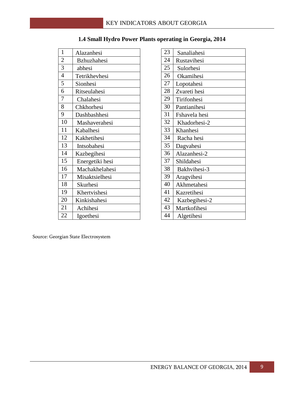| $\mathbf{1}$   | Alazanhesi         | 23 | Sanaliahesi   |
|----------------|--------------------|----|---------------|
| $\overline{2}$ | <b>Bzhuzhahesi</b> | 24 | Rustavihesi   |
| 3              | abhesi             | 25 | Sulorhesi     |
| $\overline{4}$ | Tetrikhevhesi      | 26 | Okamihesi     |
| 5              | Sionhesi           | 27 | Lopotahesi    |
| 6              | Ritseulahesi       | 28 | Zvareti hesi  |
| 7              | Chalahesi          | 29 | Tirifonhesi   |
| 8              | Chkhorhesi         | 30 | Pantianihesi  |
| 9              | Dashbashhesi       | 31 | Fshavela hesi |
| 10             | Mashaverahesi      | 32 | Khadorhesi-2  |
| 11             | Kabalhesi          | 33 | Khanhesi      |
| 12             | Kakhetihesi        | 34 | Racha hesi    |
| 13             | Intsobahesi        | 35 | Dagvahesi     |
| 14             | Kazbegihesi        | 36 | Alazanhesi-2  |
| 15             | Energetiki hesi    | 37 | Shildahesi    |
| 16             | Machakhelahesi     | 38 | Bakhvihesi-3  |
| 17             | Misaktsielhesi     | 39 | Aragvihesi    |
| 18             | Skurhesi           | 40 | Akhmetahesi   |
| 19             | Khertvishesi       | 41 | Kazretihesi   |
| 20             | Kinkishahesi       | 42 | Kazbegihesi-2 |
| 21             | Achihesi           | 43 | Martkofihesi  |
| 22             | Igoethesi          | 44 | Algetihesi    |
|                |                    |    |               |

|  |  | 1.4 Small Hydro Power Plants operating in Georgia, 2014 |  |  |
|--|--|---------------------------------------------------------|--|--|
|  |  |                                                         |  |  |

| Sanaliahesi   |
|---------------|
| Rustavihesi   |
| Sulorhesi     |
| Okamihesi     |
| Lopotahesi    |
| Zvareti hesi  |
| Tirifonhesi   |
| Pantianihesi  |
| Fshavela hesi |
| Khadorhesi-2  |
| Khanhesi      |
| Racha hesi    |
| Dagvahesi     |
| Alazanhesi-2  |
| Shildahesi    |
| Bakhvihesi-3  |
| Aragvihesi    |
| Akhmetahesi   |
| Kazretihesi   |
| Kazbegihesi-2 |
| Martkofihesi  |
| Algetihesi    |
|               |

Source: Georgian State Electrosystem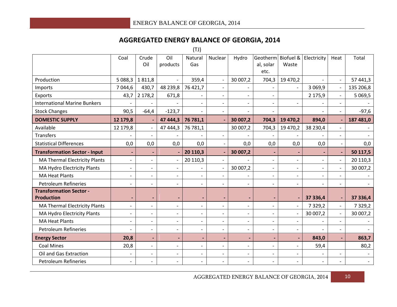#### **AGGREGATED ENERGY BALANCE OF GEORGIA, 2014**

(TJ)

|                                                     | Coal                     | Crude<br>Oil             | Oil<br>products          | Natural<br>Gas           | Nuclear                  | Hydro                    | Geotherm Biofuel & Electricity<br>al, solar<br>etc. | Waste                    |                          | Heat                     | Total       |
|-----------------------------------------------------|--------------------------|--------------------------|--------------------------|--------------------------|--------------------------|--------------------------|-----------------------------------------------------|--------------------------|--------------------------|--------------------------|-------------|
| Production                                          | 5 088,3 1 811,8          |                          |                          | 359,4                    |                          | 30 007,2                 | 704,3                                               | 19 470,2                 |                          | $\overline{\phantom{a}}$ | 57 441,3    |
| Imports                                             | 7 0 4 4,6                | 430,7                    | 48 239,8                 | 76 421,7                 | $\blacksquare$           |                          |                                                     |                          | 3 0 6 9, 9               |                          | 135 206,8   |
| Exports                                             | 43,7                     | 2 178,2                  | 671,8                    |                          | $\overline{a}$           | $\overline{a}$           | $\overline{a}$                                      |                          | 2 175,9                  | $\mathbf{r}$             | 5 0 6 9, 5  |
| <b>International Marine Bunkers</b>                 |                          |                          |                          |                          |                          |                          |                                                     |                          |                          |                          |             |
| <b>Stock Changes</b>                                | 90,5                     | $-64,4$                  | $-123,7$                 | $\overline{\phantom{a}}$ | $\overline{\phantom{a}}$ | $\overline{\phantom{a}}$ | $\overline{\phantom{a}}$                            |                          |                          | $\overline{\phantom{a}}$ | $-97,6$     |
| <b>DOMESTIC SUPPLY</b>                              | 12 179,8                 | $\blacksquare$           | 47 444,3                 | 76 781,1                 |                          | 30 007,2                 | 704,3                                               | 19 470,2                 | 894,0                    |                          | 187 481,0   |
| Available                                           | 12 179,8                 | $\overline{\phantom{a}}$ | 47 444,3                 | 76 781,1                 |                          | 30 007,2                 | 704,3                                               | 19 470,2                 | 38 230,4                 | $\overline{\phantom{a}}$ |             |
| <b>Transfers</b>                                    |                          | $\overline{\phantom{a}}$ |                          |                          | $\overline{a}$           |                          |                                                     |                          |                          | $\overline{\phantom{a}}$ |             |
| <b>Statistical Differences</b>                      | 0,0                      | 0,0                      | 0,0                      | 0,0                      | $\overline{\phantom{a}}$ | 0,0                      | 0,0                                                 | 0,0                      | 0,0                      | $\overline{\phantom{a}}$ | 0,0         |
| <b>Transformation Sector - Input</b>                |                          | $\blacksquare$           |                          | 20 110,3                 |                          | 30 007,2                 |                                                     | $\blacksquare$           |                          | $\blacksquare$           | 50 117,5    |
| <b>MA Thermal Electricity Plants</b>                | $\overline{\phantom{a}}$ | $\overline{\phantom{a}}$ |                          | 20 110,3                 | $\overline{\phantom{a}}$ |                          |                                                     | $\overline{\phantom{a}}$ |                          |                          | 20 110,3    |
| MA Hydro Electricity Plants                         | $\overline{\phantom{0}}$ | $\overline{\phantom{a}}$ | $\overline{\phantom{a}}$ | $\overline{\phantom{a}}$ | $\blacksquare$           | 30 007,2                 | $\overline{\phantom{a}}$                            | $\overline{\phantom{a}}$ | $\overline{\phantom{a}}$ |                          | 30 007,2    |
| <b>MA Heat Plants</b>                               | $\overline{\phantom{0}}$ | $\blacksquare$           | $\overline{a}$           | $\overline{\phantom{0}}$ | $\overline{a}$           |                          | $\overline{\phantom{0}}$                            | $\overline{\phantom{a}}$ |                          | $\overline{\phantom{0}}$ |             |
| <b>Petroleum Refineries</b>                         | $\overline{\phantom{0}}$ | $\overline{\phantom{a}}$ | $\overline{\phantom{0}}$ | $\blacksquare$           | $\overline{\phantom{a}}$ | $\blacksquare$           | $\overline{\phantom{a}}$                            | $\overline{\phantom{a}}$ |                          | $\overline{\phantom{0}}$ |             |
| <b>Transformation Sector -</b><br><b>Production</b> | $\overline{\phantom{0}}$ | $\blacksquare$           |                          | $\blacksquare$           |                          |                          |                                                     |                          | 37 336,4                 |                          | 37 336,4    |
| <b>MA Thermal Electricity Plants</b>                | $\overline{\phantom{0}}$ | $\overline{\phantom{a}}$ | $\overline{\phantom{0}}$ | $\overline{\phantom{0}}$ | $\overline{a}$           | $\overline{\phantom{a}}$ |                                                     | $\overline{\phantom{0}}$ | 7 3 2 9 , 2              | $\blacksquare$           | 7 3 2 9 , 2 |
| MA Hydro Electricity Plants                         | $\overline{\phantom{a}}$ | $\overline{\phantom{a}}$ | $\overline{\phantom{0}}$ | $\overline{\phantom{a}}$ | $\overline{\phantom{a}}$ | $\overline{\phantom{a}}$ | $\overline{\phantom{a}}$                            |                          | 30 007,2                 | $\overline{\phantom{a}}$ | 30 007,2    |
| <b>MA Heat Plants</b>                               | $\overline{a}$           | $\blacksquare$           | $\overline{a}$           | $\overline{a}$           | $\overline{a}$           | $\overline{a}$           | $\overline{a}$                                      | $\overline{\phantom{a}}$ |                          |                          |             |
| <b>Petroleum Refineries</b>                         | $\overline{\phantom{0}}$ | $\overline{\phantom{a}}$ | $\overline{\phantom{0}}$ | $\overline{\phantom{a}}$ | $\overline{\phantom{a}}$ | $\overline{\phantom{a}}$ | $\overline{\phantom{a}}$                            | $\overline{\phantom{a}}$ |                          | $\overline{\phantom{a}}$ |             |
| <b>Energy Sector</b>                                | 20,8                     | $\blacksquare$           | $\blacksquare$           | $\blacksquare$           | $\blacksquare$           | $\overline{\phantom{a}}$ |                                                     | $\blacksquare$           | 843,0                    |                          | 863,7       |
| <b>Coal Mines</b>                                   | 20,8                     | $\overline{\phantom{a}}$ | $\overline{\phantom{0}}$ | $\overline{\phantom{0}}$ | $\overline{\phantom{a}}$ | $\overline{\phantom{a}}$ | $\overline{\phantom{a}}$                            | $\overline{\phantom{a}}$ | 59,4                     |                          | 80,2        |
| Oil and Gas Extraction                              | $\overline{\phantom{0}}$ | $\overline{\phantom{a}}$ | $\overline{\phantom{0}}$ | $\overline{\phantom{a}}$ | $\overline{\phantom{a}}$ | $\overline{\phantom{a}}$ | $\overline{\phantom{a}}$                            | $\overline{\phantom{a}}$ |                          | $\overline{\phantom{a}}$ |             |
| <b>Petroleum Refineries</b>                         |                          | $\overline{a}$           |                          |                          |                          |                          |                                                     |                          |                          |                          |             |

AGGREGATED ENERGY BALANCE OF GEORGIA, 2014 10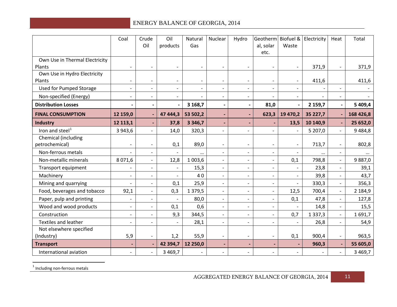<span id="page-11-0"></span>

|                                          | Coal                     | Crude<br>Oil             | Oil<br>products          | Natural<br>Gas | Nuclear                  | Hydro                        | Geotherm Biofuel & Electricity<br>al, solar<br>etc. | Waste                    |             | Heat                      | Total       |
|------------------------------------------|--------------------------|--------------------------|--------------------------|----------------|--------------------------|------------------------------|-----------------------------------------------------|--------------------------|-------------|---------------------------|-------------|
| Own Use in Thermal Electricity<br>Plants |                          | $\overline{\phantom{0}}$ |                          |                |                          |                              |                                                     |                          | 371,9       | $\overline{a}$            | 371,9       |
| Own Use in Hydro Electricity<br>Plants   |                          | $\overline{\phantom{a}}$ |                          |                |                          |                              |                                                     | $\overline{\phantom{a}}$ | 411,6       |                           | 411,6       |
| <b>Used for Pumped Storage</b>           | $\overline{a}$           | $\overline{\phantom{0}}$ | $\overline{\phantom{0}}$ | $\blacksquare$ | $\overline{\phantom{a}}$ | $\overline{\phantom{a}}$     | $\overline{\phantom{a}}$                            | $\overline{\phantom{0}}$ |             | $\overline{\phantom{a}}$  |             |
| Non-specified (Energy)                   |                          | $\overline{\phantom{a}}$ | $\overline{\phantom{a}}$ |                | $\overline{\phantom{a}}$ | $\overline{\phantom{a}}$     |                                                     | $\overline{\phantom{0}}$ |             | $\overline{\phantom{a}}$  |             |
| <b>Distribution Losses</b>               |                          | $\overline{\phantom{a}}$ |                          | 3 168,7        | $\hbox{\small -}$        | $\qquad \qquad \blacksquare$ | 81,0                                                | $\overline{\phantom{a}}$ | 2 159,7     | $\overline{\phantom{a}}$  | 5 409,4     |
| <b>FINAL CONSUMPTION</b>                 | 12 159,0                 | $\blacksquare$           | 47 444,3                 | 53 502,2       | $\blacksquare$           | $\overline{\phantom{0}}$     | 623,3                                               | 19 470,2                 | 35 227,7    |                           | 168 426,8   |
| <b>Industry</b>                          | 12 113,1                 | $\blacksquare$           | 37,8                     | 3 3 4 6,7      |                          |                              |                                                     | 13,5                     | 10 140,9    |                           | 25 652,0    |
| Iron and steel <sup>1</sup>              | 3 943,6                  | $\blacksquare$           | 14,0                     | 320,3          |                          |                              |                                                     | $\overline{a}$           | 5 207,0     | $\overline{\phantom{a}}$  | 9484,8      |
| Chemical (including                      |                          |                          |                          |                |                          |                              |                                                     |                          |             |                           |             |
| petrochemical)                           |                          | $\overline{\phantom{a}}$ | 0,1                      | 89,0           |                          | $\overline{\phantom{a}}$     | $\overline{\phantom{a}}$                            | $\overline{\phantom{a}}$ | 713,7       | $\overline{\phantom{a}}$  | 802,8       |
| Non-ferrous metals                       |                          | $\blacksquare$           |                          | $\cdots$       |                          | $\overline{a}$               | $\blacksquare$                                      |                          | $\cdots$    | $\overline{a}$            | $\cdots$    |
| Non-metallic minerals                    | 8 0 7 1,6                | $\overline{\phantom{a}}$ | 12,8                     | 1 003,6        | $\overline{\phantom{0}}$ | $\overline{\phantom{a}}$     | $\overline{\phantom{a}}$                            | 0,1                      | 798,8       | $\blacksquare$            | 9887,0      |
| Transport equipment                      |                          | $\overline{\phantom{0}}$ |                          | 15,3           |                          | $\overline{\phantom{0}}$     | $\overline{\phantom{a}}$                            |                          | 23,8        | $\overline{\phantom{0}}$  | 39,1        |
| Machinery                                |                          | $\overline{\phantom{a}}$ |                          | 40             | $\overline{\phantom{a}}$ | $\overline{\phantom{a}}$     | $\overline{\phantom{a}}$                            | $\overline{\phantom{a}}$ | 39,8        | $\blacksquare$            | 43,7        |
| Mining and quarrying                     | $\overline{\phantom{a}}$ | $\overline{\phantom{a}}$ | 0,1                      | 25,9           | $\overline{\phantom{a}}$ | $\overline{\phantom{a}}$     | $\overline{\phantom{a}}$                            | $\overline{\phantom{a}}$ | 330,3       | $\overline{\phantom{a}}$  | 356,3       |
| Food, beverages and tobacco              | 92,1                     | $\overline{\phantom{0}}$ | 0,3                      | 1 3 7 9 , 5    |                          | $\overline{\phantom{0}}$     | $\overline{\phantom{a}}$                            | 12,5                     | 700,4       | $\overline{\phantom{a}}$  | 2 184,9     |
| Paper, pulp and printing                 |                          | $\overline{\phantom{a}}$ |                          | 80,0           |                          | $\overline{\phantom{0}}$     | $\overline{a}$                                      | 0,1                      | 47,8        | $\blacksquare$            | 127,8       |
| Wood and wood products                   | $\overline{\phantom{a}}$ | $\overline{\phantom{a}}$ | 0,1                      | 0,6            | $\overline{\phantom{a}}$ | $\overline{\phantom{a}}$     | $\overline{\phantom{a}}$                            |                          | 14,8        | $\overline{\phantom{a}}$  | 15,5        |
| Construction                             | $\overline{\phantom{a}}$ | $\overline{\phantom{a}}$ | 9,3                      | 344,5          |                          | $\overline{\phantom{0}}$     | $\blacksquare$                                      | 0,7                      | 1 3 3 7 , 3 | $\mathbb{L}^{\mathbb{N}}$ | 1691,7      |
| <b>Textiles and leather</b>              |                          | $\overline{a}$           |                          | 28,1           | $\overline{a}$           | $\overline{\phantom{0}}$     | $\overline{\phantom{a}}$                            |                          | 26,8        | $\mathbf{r}$              | 54,9        |
| Not elsewhere specified                  |                          |                          |                          |                |                          |                              |                                                     |                          |             |                           |             |
| (Industry)                               | 5,9                      | $\overline{\phantom{a}}$ | 1,2                      | 55,9           |                          | $\overline{\phantom{a}}$     | $\overline{a}$                                      | 0,1                      | 900,4       | $\overline{\phantom{a}}$  | 963,5       |
| <b>Transport</b>                         |                          | $\overline{\phantom{a}}$ | 42 394,7                 | 12 250,0       |                          | $\blacksquare$               |                                                     |                          | 960,3       |                           | 55 605,0    |
| International aviation                   |                          | $\overline{\phantom{0}}$ | 3 4 6 9, 7               |                |                          |                              |                                                     | $\overline{\phantom{a}}$ |             | $\overline{\phantom{0}}$  | 3 4 6 9 , 7 |

<sup>1</sup> Including non-ferrous metals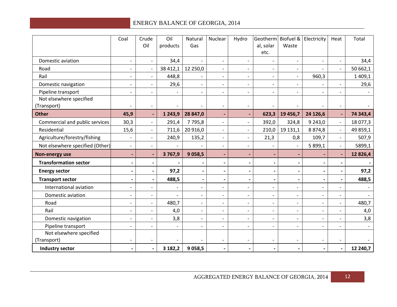|                                        | Coal                     | Crude<br>Oil                 | Oil<br>products | Natural<br>Gas           | Nuclear                      | Hydro                    | al, solar<br>etc.        | Geotherm Biofuel &<br>Waste | Electricity              | Heat                     | Total      |
|----------------------------------------|--------------------------|------------------------------|-----------------|--------------------------|------------------------------|--------------------------|--------------------------|-----------------------------|--------------------------|--------------------------|------------|
| Domestic aviation                      |                          | $\overline{\phantom{a}}$     | 34,4            |                          |                              | $\overline{\phantom{a}}$ |                          | $\overline{\phantom{a}}$    |                          | $\overline{\phantom{a}}$ | 34,4       |
| Road                                   |                          | $\overline{\phantom{a}}$     | 38 412,1        | 12 250,0                 | $\overline{\phantom{a}}$     | $\overline{\phantom{a}}$ | $\overline{\phantom{a}}$ | $\overline{\phantom{a}}$    |                          | $\overline{\phantom{a}}$ | 50 662,1   |
| Rail                                   |                          | $\overline{\phantom{a}}$     | 448,8           |                          | $\overline{a}$               | $\blacksquare$           | $\overline{\phantom{0}}$ | $\overline{\phantom{a}}$    | 960,3                    |                          | 1 4 0 9, 1 |
| Domestic navigation                    | $\overline{\phantom{0}}$ | $\overline{\phantom{a}}$     | 29,6            | $\overline{\phantom{a}}$ | $\blacksquare$               | $\overline{\phantom{a}}$ | $\overline{\phantom{a}}$ | $\overline{\phantom{a}}$    |                          | $\overline{\phantom{a}}$ | 29,6       |
| Pipeline transport                     |                          | $\overline{\phantom{a}}$     |                 |                          | $\overline{\phantom{0}}$     | $\blacksquare$           | $\overline{\phantom{0}}$ | $\overline{\phantom{a}}$    |                          | $\overline{\phantom{0}}$ |            |
| Not elsewhere specified<br>(Transport) |                          | $\overline{\phantom{a}}$     |                 | $\overline{\phantom{0}}$ | $\overline{\phantom{a}}$     | $\overline{\phantom{a}}$ |                          |                             |                          | $\overline{\phantom{a}}$ |            |
| <b>Other</b>                           | 45,9                     | $\blacksquare$               | 1 2 4 3 , 9     | 28 847,0                 | $\blacksquare$               | $\blacksquare$           | 623,3                    | 19 456,7                    | 24 126,6                 | $\blacksquare$           | 74 343,4   |
| Commercial and public services         | 30,3                     | $\overline{\phantom{a}}$     | 291,4           | 7795,8                   | $\qquad \qquad \blacksquare$ | $\overline{\phantom{a}}$ | 392,0                    | 324,8                       | 9 2 4 3 , 0              | $\blacksquare$           | 18 077,3   |
| Residential                            | 15,6                     | $\overline{\phantom{a}}$     | 711,6           | 20 916,0                 | $\overline{\phantom{a}}$     | $\overline{\phantom{a}}$ | 210,0                    | 19 131,1                    | 8 8 7 4, 8               | $\blacksquare$           | 49 859,1   |
| Agriculture/forestry/fishing           |                          | $\blacksquare$               | 240,9           | 135,2                    | $\sim$                       | $\blacksquare$           | 21,3                     | 0,8                         | 109,7                    | $\mathbf{r}$             | 507,9      |
| Not elsewhere specified (Other)        | $\overline{\phantom{a}}$ | $\overline{\phantom{a}}$     |                 |                          | $\overline{\phantom{a}}$     | $\overline{\phantom{a}}$ | $\overline{\phantom{0}}$ | $\overline{\phantom{a}}$    | 5 899,1                  | $\overline{\phantom{a}}$ | 5899,1     |
| Non-energy use                         | -                        | $\overline{\phantom{a}}$     | 3767,9          | 9 0 58,5                 | $\blacksquare$               | $\blacksquare$           | $\blacksquare$           | ٠                           |                          |                          | 12826,4    |
| <b>Transformation sector</b>           |                          | $\qquad \qquad \blacksquare$ |                 | $\overline{\phantom{a}}$ | $\qquad \qquad \blacksquare$ | $\overline{\phantom{a}}$ |                          | $\overline{\phantom{a}}$    |                          |                          |            |
| <b>Energy sector</b>                   |                          | $\overline{\phantom{a}}$     | 97,2            | $\blacksquare$           | $\blacksquare$               | $\overline{\phantom{a}}$ |                          | $\overline{\phantom{a}}$    |                          | $\overline{\phantom{a}}$ | 97,2       |
| <b>Transport sector</b>                |                          | $\overline{\phantom{a}}$     | 488,5           | $\blacksquare$           | $\overline{\phantom{a}}$     | $\overline{\phantom{a}}$ | $\overline{\phantom{0}}$ | $\overline{\phantom{a}}$    |                          | $\blacksquare$           | 488,5      |
| International aviation                 |                          | $\overline{\phantom{a}}$     |                 | $\overline{\phantom{0}}$ | $\overline{a}$               | $\overline{\phantom{a}}$ | $\overline{\phantom{0}}$ | $\overline{\phantom{a}}$    |                          | $\overline{a}$           |            |
| Domestic aviation                      | $\blacksquare$           | $\overline{\phantom{a}}$     |                 | $\overline{\phantom{0}}$ | $\blacksquare$               | $\blacksquare$           | $\overline{\phantom{0}}$ | $\overline{\phantom{a}}$    | $\blacksquare$           | $\overline{\phantom{a}}$ |            |
| Road                                   |                          | $\blacksquare$               | 480,7           | $\overline{\phantom{0}}$ | $\blacksquare$               | $\blacksquare$           | $\overline{\phantom{a}}$ | $\overline{\phantom{a}}$    | $\blacksquare$           | $\blacksquare$           | 480,7      |
| Rail                                   |                          | $\overline{\phantom{a}}$     | 4,0             | $\overline{\phantom{0}}$ | $\overline{\phantom{a}}$     | $\blacksquare$           | $\overline{\phantom{0}}$ |                             |                          | $\overline{a}$           | 4,0        |
| Domestic navigation                    | $\overline{\phantom{a}}$ | $\overline{\phantom{a}}$     | 3,8             | $\overline{\phantom{0}}$ | $\blacksquare$               | $\blacksquare$           | $\overline{\phantom{0}}$ | $\overline{\phantom{a}}$    | $\overline{\phantom{a}}$ | $\overline{\phantom{a}}$ | 3,8        |
| Pipeline transport                     |                          | $\overline{\phantom{a}}$     |                 |                          | $\overline{\phantom{0}}$     | $\blacksquare$           | $\overline{\phantom{0}}$ | $\overline{\phantom{a}}$    |                          | $\blacksquare$           |            |
| Not elsewhere specified                |                          |                              |                 |                          |                              |                          |                          |                             |                          |                          |            |
| (Transport)                            | $\overline{\phantom{0}}$ | $\overline{\phantom{a}}$     |                 |                          | $\overline{a}$               | $\overline{\phantom{a}}$ | $\overline{\phantom{0}}$ |                             |                          | $\blacksquare$           |            |
| Industry sector                        | $\blacksquare$           | $\overline{\phantom{a}}$     | 3 182,2         | 9 0 58,5                 | $\blacksquare$               | $\blacksquare$           |                          | $\overline{\phantom{a}}$    |                          | $\blacksquare$           | 12 240,7   |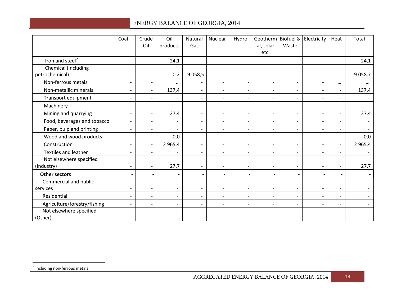<span id="page-13-0"></span>

|                                       | Coal                     | Crude<br>Oil             | Oil<br>products          | Natural<br>Gas           | Nuclear                  | Hydro                    | al, solar<br>etc.        | Waste                    | Geotherm Biofuel & Electricity | Heat                     | Total      |
|---------------------------------------|--------------------------|--------------------------|--------------------------|--------------------------|--------------------------|--------------------------|--------------------------|--------------------------|--------------------------------|--------------------------|------------|
| Iron and steel <sup>2</sup>           |                          |                          | 24,1                     |                          |                          |                          |                          |                          |                                |                          | 24,1       |
| Chemical (including<br>petrochemical) | $\overline{\phantom{a}}$ | $\overline{\phantom{a}}$ | 0,2                      | 9 0 58,5                 | $\overline{\phantom{a}}$ | $\overline{\phantom{a}}$ | $\overline{\phantom{a}}$ | $\overline{\phantom{a}}$ | $\overline{\phantom{a}}$       | $\overline{\phantom{a}}$ | 9 0 58,7   |
| Non-ferrous metals                    | $\overline{\phantom{a}}$ | $\overline{\phantom{a}}$ | $\cdots$                 | $\overline{\phantom{a}}$ | $\overline{\phantom{a}}$ | $\overline{\phantom{a}}$ | $\overline{\phantom{a}}$ | $\overline{\phantom{a}}$ | $\overline{\phantom{a}}$       | $\cdots$                 |            |
| Non-metallic minerals                 | $\overline{\phantom{a}}$ | $\overline{\phantom{a}}$ | 137,4                    | $\overline{\phantom{a}}$ | $\overline{\phantom{a}}$ | $\overline{\phantom{a}}$ | $\overline{\phantom{a}}$ | $\overline{\phantom{a}}$ | $\overline{a}$                 | $\blacksquare$           | 137,4      |
| Transport equipment                   | $\overline{\phantom{0}}$ | $\overline{\phantom{a}}$ |                          | $\overline{\phantom{a}}$ | $\overline{\phantom{a}}$ | $\blacksquare$           | $\overline{\phantom{a}}$ | $\overline{\phantom{a}}$ |                                | $\overline{\phantom{a}}$ |            |
| Machinery                             | $\overline{\phantom{a}}$ | $\overline{\phantom{a}}$ |                          | $\overline{\phantom{0}}$ | $\blacksquare$           | $\overline{\phantom{a}}$ | $\overline{\phantom{a}}$ | $\overline{\phantom{a}}$ | $\overline{\phantom{0}}$       | $\overline{\phantom{0}}$ |            |
| Mining and quarrying                  | $\overline{\phantom{a}}$ | $\overline{\phantom{a}}$ | 27,4                     | $\overline{\phantom{a}}$ | $\overline{\phantom{a}}$ | $\overline{\phantom{a}}$ | $\overline{\phantom{a}}$ | $\overline{\phantom{a}}$ |                                | $\overline{\phantom{a}}$ | 27,4       |
| Food, beverages and tobacco           | $\overline{\phantom{a}}$ | $\overline{\phantom{a}}$ |                          | $\overline{\phantom{a}}$ | $\blacksquare$           | $\overline{\phantom{a}}$ | $\overline{\phantom{a}}$ | $\overline{\phantom{a}}$ | $\overline{\phantom{a}}$       | $-$                      |            |
| Paper, pulp and printing              | $\overline{\phantom{0}}$ | $\overline{\phantom{a}}$ |                          | $\overline{\phantom{a}}$ | $\overline{\phantom{a}}$ | $\overline{\phantom{a}}$ | $\overline{\phantom{a}}$ | $\overline{\phantom{a}}$ |                                | $\qquad \qquad -$        |            |
| Wood and wood products                | $\overline{a}$           | $\overline{\phantom{a}}$ | 0,0                      | $\overline{\phantom{0}}$ | $\overline{\phantom{a}}$ | $\blacksquare$           |                          | $\overline{\phantom{a}}$ | $\overline{a}$                 | $\overline{\phantom{0}}$ | 0,0        |
| Construction                          | $\overline{\phantom{a}}$ | $\blacksquare$           | 2 9 6 5, 4               | $\overline{\phantom{a}}$ | $\overline{\phantom{a}}$ | $\overline{\phantom{a}}$ | $\overline{\phantom{a}}$ | $\overline{\phantom{a}}$ | $\overline{\phantom{a}}$       | $\overline{\phantom{0}}$ | 2 9 6 5, 4 |
| Textiles and leather                  | $\overline{a}$           | $\overline{\phantom{a}}$ |                          | $\overline{\phantom{a}}$ | $\overline{\phantom{a}}$ | $\overline{\phantom{a}}$ | $\overline{\phantom{a}}$ | $\overline{\phantom{a}}$ |                                | $\overline{\phantom{0}}$ |            |
| Not elsewhere specified<br>(Industry) | $\overline{\phantom{0}}$ | $\overline{\phantom{a}}$ | 27,7                     | $\overline{\phantom{a}}$ | $\overline{\phantom{a}}$ | $\overline{\phantom{a}}$ |                          | $\overline{\phantom{a}}$ |                                | $\overline{\phantom{a}}$ | 27,7       |
| <b>Other sectors</b>                  | $\overline{\phantom{0}}$ | $\blacksquare$           |                          | $\blacksquare$           | $\overline{a}$           | $\blacksquare$           | $\overline{\phantom{a}}$ | $\blacksquare$           | -                              | $\overline{\phantom{a}}$ |            |
| Commercial and public                 |                          |                          |                          |                          |                          |                          |                          |                          |                                |                          |            |
| services                              | $\overline{\phantom{0}}$ | $\overline{\phantom{0}}$ | $\overline{\phantom{0}}$ | $\overline{\phantom{0}}$ | $\overline{\phantom{a}}$ | $\overline{\phantom{a}}$ | $\qquad \qquad -$        | $\overline{\phantom{a}}$ |                                | $\overline{\phantom{0}}$ |            |
| Residential                           |                          | $\overline{\phantom{a}}$ | $\overline{a}$           | $\overline{\phantom{0}}$ | $\overline{\phantom{a}}$ | $\overline{\phantom{a}}$ |                          | $\overline{\phantom{a}}$ |                                | $\overline{\phantom{a}}$ |            |
| Agriculture/forestry/fishing          |                          | $\overline{\phantom{a}}$ |                          | $\overline{\phantom{0}}$ |                          | $\overline{\phantom{a}}$ |                          | $\overline{\phantom{a}}$ |                                | $\overline{\phantom{0}}$ |            |
| Not elsewhere specified<br>(Other)    | $\overline{\phantom{a}}$ | $\overline{\phantom{a}}$ | $\overline{\phantom{0}}$ | $\overline{\phantom{a}}$ |                          | $\overline{\phantom{a}}$ | $\overline{\phantom{a}}$ | $\overline{\phantom{a}}$ | $\overline{\phantom{a}}$       | $\qquad \qquad -$        |            |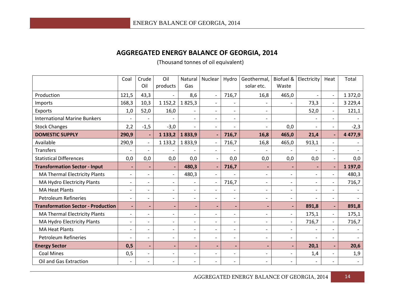#### **AGGREGATED ENERGY BALANCE OF GEORGIA, 2014**

(Thousand tonnes of oil equivalent)

|                                           | Coal                     | Crude<br>Oil             | Oil<br>products          | Natural<br>Gas               | Nuclear                  | Hydro                    | Geothermal,<br>solar etc. | Biofuel &<br>Waste       | Electricity              | Heat                     | Total     |
|-------------------------------------------|--------------------------|--------------------------|--------------------------|------------------------------|--------------------------|--------------------------|---------------------------|--------------------------|--------------------------|--------------------------|-----------|
| Production                                | 121,5                    | 43,3                     |                          | 8,6                          |                          | 716,7                    | 16,8                      | 465,0                    | $\overline{\phantom{a}}$ | $\overline{\phantom{a}}$ | 1 372,0   |
| Imports                                   | 168,3                    | 10,3                     | 1 1 5 2 , 2              | 1825,3                       |                          |                          |                           |                          | 73,3                     | $\overline{\phantom{a}}$ | 3 2 2 9,4 |
| Exports                                   | 1,0                      | 52,0                     | 16,0                     |                              |                          |                          |                           |                          | 52,0                     | $\overline{\phantom{0}}$ | 121,1     |
| <b>International Marine Bunkers</b>       |                          |                          |                          |                              |                          |                          | $\overline{\phantom{a}}$  |                          | $\overline{\phantom{a}}$ | $\overline{\phantom{a}}$ |           |
| <b>Stock Changes</b>                      | 2,2                      | $-1,5$                   | $-3,0$                   |                              | $\overline{\phantom{a}}$ |                          | $\overline{\phantom{a}}$  | 0,0                      | $\overline{\phantom{a}}$ | $\overline{\phantom{0}}$ | $-2,3$    |
| <b>DOMESTIC SUPPLY</b>                    | 290,9                    | ٠                        | 1 1 3 3 , 2              | 1833,9                       |                          | 716,7                    | 16,8                      | 465,0                    | 21,4                     | $\blacksquare$           | 4 4 7 7,9 |
| Available                                 | 290,9                    | $\blacksquare$           | 1 1 3 3 , 2              | 1833,9                       | $\overline{a}$           | 716,7                    | 16,8                      | 465,0                    | 913,1                    | $\overline{\phantom{0}}$ |           |
| <b>Transfers</b>                          | $\overline{\phantom{a}}$ | $\blacksquare$           |                          |                              |                          |                          |                           |                          |                          | $\overline{\phantom{0}}$ |           |
| <b>Statistical Differences</b>            | 0,0                      | 0,0                      | 0,0                      | 0,0                          | $\overline{\phantom{a}}$ | 0,0                      | 0,0                       | 0,0                      | 0,0                      | $\overline{\phantom{a}}$ | 0,0       |
| <b>Transformation Sector - Input</b>      |                          |                          | $\blacksquare$           | 480,3                        |                          | 716,7                    |                           |                          | $\blacksquare$           | $\blacksquare$           | 1 197,0   |
| <b>MA Thermal Electricity Plants</b>      | $\overline{\phantom{a}}$ | $\overline{\phantom{a}}$ | $\overline{\phantom{0}}$ | 480,3                        |                          |                          | $\overline{a}$            | $\overline{\phantom{a}}$ | $\overline{\phantom{a}}$ | $\overline{\phantom{0}}$ | 480,3     |
| MA Hydro Electricity Plants               | $\qquad \qquad -$        | $\overline{\phantom{a}}$ | $\overline{\phantom{a}}$ |                              |                          | 716,7                    | $\overline{\phantom{0}}$  | $\overline{\phantom{a}}$ | $\overline{\phantom{0}}$ | $\overline{\phantom{a}}$ | 716,7     |
| <b>MA Heat Plants</b>                     | $\overline{\phantom{0}}$ | $\qquad \qquad -$        | $\overline{\phantom{0}}$ |                              |                          |                          | -                         | $\overline{\phantom{a}}$ | $\overline{\phantom{a}}$ | $\overline{\phantom{0}}$ |           |
| <b>Petroleum Refineries</b>               | $\overline{\phantom{a}}$ | $\qquad \qquad -$        | $\overline{\phantom{a}}$ |                              |                          | $\overline{\phantom{0}}$ | $\overline{\phantom{a}}$  | $\overline{\phantom{a}}$ | $\overline{\phantom{a}}$ | $\overline{\phantom{a}}$ |           |
| <b>Transformation Sector - Production</b> | $\blacksquare$           | $\overline{\phantom{0}}$ | ٠                        | $\qquad \qquad \blacksquare$ | $\blacksquare$           | $\blacksquare$           | $\overline{\phantom{0}}$  |                          | 891,8                    | $\blacksquare$           | 891,8     |
| <b>MA Thermal Electricity Plants</b>      | $\overline{\phantom{a}}$ | $\overline{\phantom{0}}$ | $\overline{\phantom{0}}$ | $\overline{\phantom{0}}$     | $\overline{a}$           | $\overline{a}$           | $\overline{a}$            | $\overline{\phantom{a}}$ | 175,1                    | $\overline{\phantom{a}}$ | 175,1     |
| MA Hydro Electricity Plants               | $\overline{\phantom{a}}$ | $\overline{\phantom{a}}$ | $\overline{\phantom{0}}$ | $\overline{\phantom{0}}$     |                          | $\overline{\phantom{0}}$ | $\overline{\phantom{a}}$  | $\overline{\phantom{a}}$ | 716,7                    | $\overline{\phantom{0}}$ | 716,7     |
| <b>MA Heat Plants</b>                     | $\overline{\phantom{m}}$ | $\overline{\phantom{a}}$ | $\overline{\phantom{a}}$ | $\overline{\phantom{a}}$     |                          | $\overline{\phantom{0}}$ | $\overline{\phantom{a}}$  | $\overline{\phantom{a}}$ | $\overline{\phantom{a}}$ | $\overline{\phantom{0}}$ |           |
| <b>Petroleum Refineries</b>               | $\overline{\phantom{a}}$ | $\overline{\phantom{a}}$ | $\overline{\phantom{a}}$ | $\overline{\phantom{a}}$     |                          | $\overline{\phantom{0}}$ | -                         | $\overline{\phantom{a}}$ | $\blacksquare$           | $\overline{\phantom{a}}$ |           |
| <b>Energy Sector</b>                      | 0,5                      | $\blacksquare$           | $\blacksquare$           | $\blacksquare$               | $\blacksquare$           | $\blacksquare$           | $\overline{\phantom{0}}$  |                          | 20,1                     | $\blacksquare$           | 20,6      |
| <b>Coal Mines</b>                         | 0,5                      | $\overline{\phantom{0}}$ | $\overline{\phantom{a}}$ | $\overline{\phantom{a}}$     | $\blacksquare$           | $\overline{\phantom{a}}$ | $\overline{\phantom{0}}$  | $\overline{\phantom{a}}$ | 1,4                      | $\overline{\phantom{0}}$ | 1,9       |
| Oil and Gas Extraction                    | $\overline{\phantom{a}}$ | $\overline{\phantom{a}}$ | $\overline{\phantom{a}}$ |                              |                          | $\overline{\phantom{0}}$ |                           |                          | $\overline{\phantom{a}}$ | $\overline{\phantom{a}}$ |           |

AGGREGATED ENERGY BALANCE OF GEORGIA, 2014 14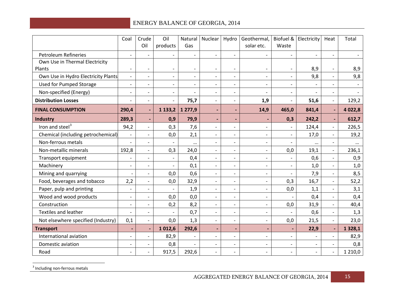<span id="page-15-0"></span>

|                                          | Coal                     | Crude<br>Oil             | Oil<br>products          | Gas                      | Natural   Nuclear        | Hydro                    | Geothermal,<br>solar etc. | Biofuel &<br>Waste       | Electricity              | Heat                     | Total     |
|------------------------------------------|--------------------------|--------------------------|--------------------------|--------------------------|--------------------------|--------------------------|---------------------------|--------------------------|--------------------------|--------------------------|-----------|
| <b>Petroleum Refineries</b>              | $\blacksquare$           | $\blacksquare$           |                          |                          |                          |                          | $\overline{\phantom{0}}$  | $\overline{\phantom{0}}$ | $\overline{a}$           |                          |           |
| Own Use in Thermal Electricity<br>Plants | $\overline{\phantom{a}}$ | $\overline{\phantom{a}}$ | $\overline{\phantom{a}}$ |                          |                          |                          |                           | $\qquad \qquad -$        | 8,9                      | $\overline{\phantom{a}}$ | 8,9       |
| Own Use in Hydro Electricity Plants      | $\overline{\phantom{a}}$ | $\overline{\phantom{a}}$ | $\overline{\phantom{a}}$ | $\overline{\phantom{a}}$ | $\overline{a}$           | $\overline{\phantom{a}}$ | $\overline{\phantom{a}}$  | $\overline{\phantom{a}}$ | 9,8                      | $\overline{\phantom{a}}$ | 9,8       |
| <b>Used for Pumped Storage</b>           | $\overline{\phantom{a}}$ | $\overline{\phantom{a}}$ | $\overline{\phantom{a}}$ | $\overline{\phantom{0}}$ | $\overline{\phantom{0}}$ | $\overline{\phantom{a}}$ | $\overline{\phantom{a}}$  | $\overline{\phantom{a}}$ | $\overline{\phantom{a}}$ | $\blacksquare$           |           |
| Non-specified (Energy)                   | $\overline{\phantom{a}}$ | $\overline{\phantom{a}}$ |                          |                          |                          | $\overline{\phantom{0}}$ |                           | $\qquad \qquad -$        | $\overline{a}$           | $\overline{\phantom{a}}$ |           |
| <b>Distribution Losses</b>               | $\overline{a}$           | $\overline{\phantom{a}}$ | $\blacksquare$           | 75,7                     | $\overline{a}$           | $\overline{\phantom{0}}$ | 1,9                       | $\overline{\phantom{a}}$ | 51,6                     | $\overline{\phantom{a}}$ | 129,2     |
| <b>FINAL CONSUMPTION</b>                 | 290,4                    | $\blacksquare$           | 1 1 3 3 , 2              | 1 277,9                  |                          |                          | 14,9                      | 465,0                    | 841,4                    | $\blacksquare$           | 4 0 2 2,8 |
| Industry                                 | 289,3                    | $\blacksquare$           | 0,9                      | 79,9                     |                          | $\overline{\phantom{0}}$ |                           | 0,3                      | 242,2                    | $\blacksquare$           | 612,7     |
| Iron and steel $3$                       | 94,2                     | $\overline{\phantom{a}}$ | 0,3                      | 7,6                      | $\overline{a}$           | $\overline{\phantom{a}}$ | $\overline{\phantom{0}}$  | $\overline{\phantom{a}}$ | 124,4                    | $\overline{\phantom{a}}$ | 226,5     |
| Chemical (including petrochemical)       | $\blacksquare$           | $\mathbf{r}$             | 0,0                      | 2,1                      | $\overline{a}$           | $\overline{\phantom{0}}$ | $\blacksquare$            | $\overline{\phantom{a}}$ | 17,0                     | $\blacksquare$           | 19,2      |
| Non-ferrous metals                       | $\overline{\phantom{a}}$ | $\overline{\phantom{a}}$ |                          | $\cdots$                 | $\overline{\phantom{0}}$ | $\overline{a}$           | $\overline{\phantom{0}}$  | $\overline{\phantom{a}}$ | $\cdots$                 | $\overline{\phantom{a}}$ | $\cdots$  |
| Non-metallic minerals                    | 192,8                    | $\overline{\phantom{a}}$ | 0,3                      | 24,0                     |                          | $\overline{\phantom{a}}$ |                           | 0,0                      | 19,1                     | $\overline{\phantom{a}}$ | 236,1     |
| Transport equipment                      | $\overline{\phantom{a}}$ | $\overline{\phantom{a}}$ |                          | 0,4                      | $\overline{a}$           | $\overline{\phantom{0}}$ | $\overline{\phantom{0}}$  | $\blacksquare$           | 0,6                      | $\overline{\phantom{a}}$ | 0,9       |
| Machinery                                | $\overline{\phantom{a}}$ | $\overline{\phantom{a}}$ | $\overline{\phantom{a}}$ | 0,1                      | $\overline{\phantom{0}}$ | $\overline{\phantom{a}}$ | $\blacksquare$            | $\overline{\phantom{a}}$ | 1,0                      | $\overline{\phantom{a}}$ | 1,0       |
| Mining and quarrying                     |                          | $\blacksquare$           | 0,0                      | 0,6                      | $\overline{a}$           | $\overline{\phantom{0}}$ | $\overline{\phantom{a}}$  | $\overline{\phantom{a}}$ | 7,9                      | $\overline{\phantom{a}}$ | 8,5       |
| Food, beverages and tobacco              | 2,2                      | $\overline{\phantom{a}}$ | 0,0                      | 32,9                     |                          | $\overline{\phantom{0}}$ | $\overline{a}$            | 0,3                      | 16,7                     | $\overline{\phantom{a}}$ | 52,2      |
| Paper, pulp and printing                 | $\overline{\phantom{a}}$ | $\overline{\phantom{a}}$ | $\overline{\phantom{a}}$ | 1,9                      | $\qquad \qquad -$        | $\overline{\phantom{a}}$ | $\overline{\phantom{0}}$  | 0,0                      | 1,1                      | $\overline{\phantom{a}}$ | 3,1       |
| Wood and wood products                   | $\overline{\phantom{a}}$ | $\overline{\phantom{a}}$ | 0,0                      | 0,0                      | $\overline{a}$           | $\overline{\phantom{a}}$ | $\overline{\phantom{a}}$  |                          | 0,4                      | $\overline{\phantom{a}}$ | 0,4       |
| Construction                             | $\overline{\phantom{a}}$ | $\overline{\phantom{a}}$ | 0,2                      | 8,2                      | $\overline{\phantom{0}}$ | $\overline{\phantom{a}}$ | $\overline{\phantom{0}}$  | 0,0                      | 31,9                     | $\overline{\phantom{a}}$ | 40,4      |
| <b>Textiles and leather</b>              | $\overline{\phantom{m}}$ | $\overline{\phantom{a}}$ |                          | 0,7                      |                          |                          |                           | $\qquad \qquad -$        | 0,6                      | $\overline{\phantom{a}}$ | 1,3       |
| Not elsewhere specified (Industry)       | 0,1                      | $\overline{\phantom{a}}$ | 0,0                      | 1,3                      | $\overline{a}$           | $\overline{\phantom{a}}$ | $\overline{\phantom{0}}$  | 0,0                      | 21,5                     | $\overline{\phantom{a}}$ | 23,0      |
| <b>Transport</b>                         | $\overline{\phantom{a}}$ | $\blacksquare$           | 1012,6                   | 292,6                    |                          | $\overline{\phantom{0}}$ |                           |                          | 22,9                     | $\blacksquare$           | 1 3 28, 1 |
| International aviation                   | $\overline{\phantom{a}}$ | $\overline{\phantom{a}}$ | 82,9                     |                          | $\overline{\phantom{a}}$ | $\overline{\phantom{a}}$ | $\overline{\phantom{0}}$  | $\overline{\phantom{a}}$ | $\overline{\phantom{a}}$ | $\overline{\phantom{a}}$ | 82,9      |
| Domestic aviation                        | $\overline{\phantom{a}}$ | $\overline{\phantom{a}}$ | 0,8                      |                          | $\overline{\phantom{0}}$ | $\overline{\phantom{a}}$ | $\overline{\phantom{a}}$  | $\overline{\phantom{a}}$ | $\overline{\phantom{a}}$ | $\overline{\phantom{a}}$ | 0,8       |
| Road                                     | $\overline{a}$           | $\blacksquare$           | 917,5                    | 292,6                    | $\overline{a}$           | $\overline{a}$           | $\overline{\phantom{a}}$  | $\blacksquare$           | $\blacksquare$           | $\blacksquare$           | 1 2 1 0,0 |

<sup>3</sup> Including non-ferrous metals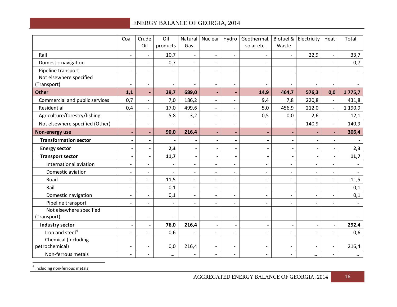<span id="page-16-0"></span>

|                                 | Coal                     | Crude<br>Oil                 | Oil<br>products          | Natural<br>Gas               | Nuclear                  | Hydro                        | Geothermal,<br>solar etc. | Waste                    | Biofuel & Electricity    | Heat                     | Total                    |
|---------------------------------|--------------------------|------------------------------|--------------------------|------------------------------|--------------------------|------------------------------|---------------------------|--------------------------|--------------------------|--------------------------|--------------------------|
|                                 |                          |                              |                          |                              |                          |                              |                           |                          |                          |                          |                          |
| Rail                            | $\overline{\phantom{a}}$ | $\overline{\phantom{a}}$     | 10,7                     | $\overline{\phantom{a}}$     | $\overline{\phantom{a}}$ | $\overline{\phantom{a}}$     | $\overline{\phantom{a}}$  | $\overline{\phantom{a}}$ | 22,9                     | $\overline{\phantom{a}}$ | 33,7                     |
| Domestic navigation             | $\overline{\phantom{a}}$ | $\overline{\phantom{a}}$     | 0,7                      | $\overline{\phantom{a}}$     | $\blacksquare$           | $\overline{\phantom{0}}$     | $\overline{\phantom{a}}$  | $\overline{\phantom{a}}$ | $\overline{\phantom{a}}$ | $\overline{\phantom{a}}$ | 0,7                      |
| Pipeline transport              | $\overline{\phantom{a}}$ | $\blacksquare$               |                          | $\overline{\phantom{0}}$     |                          |                              | $\overline{a}$            | $\overline{\phantom{0}}$ | $\overline{\phantom{0}}$ |                          |                          |
| Not elsewhere specified         |                          |                              |                          |                              |                          |                              |                           |                          |                          |                          |                          |
| (Transport)                     | $\overline{\phantom{a}}$ | $\overline{\phantom{a}}$     | $\overline{\phantom{a}}$ | $\overline{a}$               | $\overline{a}$           | $\overline{a}$               |                           |                          |                          |                          |                          |
| <b>Other</b>                    | 1,1                      | $\blacksquare$               | 29,7                     | 689,0                        | $\blacksquare$           | $\overline{\phantom{a}}$     | 14,9                      | 464,7                    | 576,3                    | 0,0                      | 1775,7                   |
| Commercial and public services  | 0,7                      | $\overline{\phantom{a}}$     | 7,0                      | 186,2                        | $\overline{a}$           | $\overline{\phantom{0}}$     | 9,4                       | 7,8                      | 220,8                    | $\blacksquare$           | 431,8                    |
| Residential                     | 0,4                      | $\frac{1}{2}$                | 17,0                     | 499,6                        | $\blacksquare$           | $\overline{a}$               | 5,0                       | 456,9                    | 212,0                    | $\blacksquare$           | 1 190,9                  |
| Agriculture/forestry/fishing    | $\overline{\phantom{a}}$ | $\overline{\phantom{a}}$     | 5,8                      | 3,2                          | $\overline{\phantom{a}}$ | $\overline{\phantom{a}}$     | 0,5                       | 0,0                      | 2,6                      | $\overline{\phantom{a}}$ | 12,1                     |
| Not elsewhere specified (Other) | $\blacksquare$           | $\overline{\phantom{a}}$     |                          |                              | $\overline{\phantom{0}}$ | $\overline{\phantom{a}}$     |                           |                          | 140,9                    | $\overline{\phantom{a}}$ | 140,9                    |
| Non-energy use                  | $\overline{\phantom{a}}$ | $\overline{\phantom{a}}$     | 90,0                     | 216,4                        |                          | ÷,                           |                           |                          | $\blacksquare$           | ÷,                       | 306,4                    |
| <b>Transformation sector</b>    | $\overline{\phantom{a}}$ | $\overline{\phantom{a}}$     |                          | $\overline{\phantom{a}}$     | $\overline{\phantom{a}}$ | $\blacksquare$               | $\blacksquare$            | $\blacksquare$           | $\overline{\phantom{a}}$ | $\overline{\phantom{a}}$ |                          |
| <b>Energy sector</b>            | $\overline{\phantom{a}}$ | $\overline{\phantom{a}}$     | 2,3                      | $\qquad \qquad \blacksquare$ |                          | $\qquad \qquad \blacksquare$ | $\overline{\phantom{0}}$  | $\overline{\phantom{0}}$ | $\overline{\phantom{a}}$ | $\blacksquare$           | 2,3                      |
| <b>Transport sector</b>         | $\overline{\phantom{a}}$ | $\blacksquare$               | 11,7                     | $\qquad \qquad \blacksquare$ | $\overline{\phantom{a}}$ | $\overline{\phantom{a}}$     | $\overline{\phantom{a}}$  | $\blacksquare$           | $\blacksquare$           | $\blacksquare$           | 11,7                     |
| International aviation          | $\overline{\phantom{a}}$ | $\overline{\phantom{a}}$     | $\overline{\phantom{a}}$ | $\overline{\phantom{a}}$     | $\overline{\phantom{a}}$ | $\overline{\phantom{a}}$     | $\overline{\phantom{a}}$  | $\overline{\phantom{a}}$ | $\overline{\phantom{a}}$ | $\overline{\phantom{a}}$ |                          |
| Domestic aviation               | $\blacksquare$           | $\overline{\phantom{a}}$     | $\overline{a}$           | $\blacksquare$               | $\overline{a}$           | $\overline{\phantom{0}}$     | $\blacksquare$            | $\blacksquare$           | $\overline{\phantom{a}}$ | $\blacksquare$           |                          |
| Road                            | $\overline{\phantom{a}}$ | $\overline{\phantom{a}}$     | 11,5                     | $\overline{\phantom{0}}$     | $\overline{\phantom{0}}$ | $\overline{\phantom{0}}$     | $\overline{a}$            | $\overline{\phantom{a}}$ | $\overline{\phantom{a}}$ | $\overline{\phantom{0}}$ | 11,5                     |
| Rail                            | $\overline{\phantom{a}}$ | $\overline{\phantom{a}}$     | 0,1                      | $\overline{\phantom{0}}$     | $\overline{a}$           | $\overline{a}$               | $\overline{\phantom{a}}$  | $\overline{\phantom{a}}$ | $\overline{\phantom{a}}$ | $\overline{\phantom{a}}$ | 0,1                      |
| Domestic navigation             | $\overline{\phantom{a}}$ | $\overline{\phantom{a}}$     | 0,1                      | $\overline{\phantom{0}}$     | $\overline{a}$           |                              | $\overline{\phantom{a}}$  | $\overline{\phantom{a}}$ | $\overline{\phantom{a}}$ | $\overline{\phantom{a}}$ | 0,1                      |
| Pipeline transport              | $\overline{\phantom{a}}$ | $\overline{\phantom{a}}$     | $\overline{\phantom{a}}$ | $\overline{\phantom{a}}$     | $\overline{\phantom{a}}$ | $\overline{\phantom{a}}$     | $\overline{\phantom{a}}$  | $\overline{\phantom{a}}$ | $\overline{\phantom{a}}$ | $\overline{\phantom{a}}$ | $\overline{\phantom{a}}$ |
| Not elsewhere specified         |                          |                              |                          |                              |                          |                              |                           |                          |                          |                          |                          |
| (Transport)                     | $\overline{\phantom{a}}$ | $\overline{\phantom{a}}$     |                          |                              | $\overline{a}$           | $\overline{\phantom{0}}$     | $\overline{a}$            | $\overline{\phantom{a}}$ | $\overline{\phantom{a}}$ | $\blacksquare$           |                          |
| <b>Industry sector</b>          | $\overline{\phantom{a}}$ | $\qquad \qquad \blacksquare$ | 76,0                     | 216,4                        | $\overline{\phantom{a}}$ | $\overline{\phantom{a}}$     | $\overline{\phantom{0}}$  |                          | $\overline{\phantom{a}}$ | $\blacksquare$           | 292,4                    |
| Iron and steel <sup>4</sup>     | $\overline{\phantom{a}}$ | $\overline{a}$               | 0,6                      | $\overline{\phantom{0}}$     | $\overline{\phantom{0}}$ | $\overline{\phantom{0}}$     | $\overline{\phantom{0}}$  | $\overline{a}$           | $\overline{\phantom{a}}$ | $\overline{\phantom{0}}$ | 0,6                      |
| Chemical (including             |                          |                              |                          |                              |                          |                              |                           |                          |                          |                          |                          |
| petrochemical)                  | $\overline{\phantom{a}}$ | $\overline{\phantom{a}}$     | 0,0                      | 216,4                        | $\overline{a}$           | $\overline{\phantom{a}}$     | $\overline{\phantom{a}}$  | $\overline{\phantom{a}}$ | $\overline{\phantom{a}}$ | $\overline{\phantom{a}}$ | 216,4                    |
| Non-ferrous metals              | $\overline{\phantom{a}}$ | $\overline{\phantom{a}}$     | $\cdots$                 | $\overline{\phantom{a}}$     | $\overline{\phantom{a}}$ | $\overline{\phantom{a}}$     | $\overline{\phantom{a}}$  | $\overline{\phantom{a}}$ | $\cdots$                 | $\overline{\phantom{a}}$ | $\cdots$                 |

<sup>4</sup> Including non-ferrous metals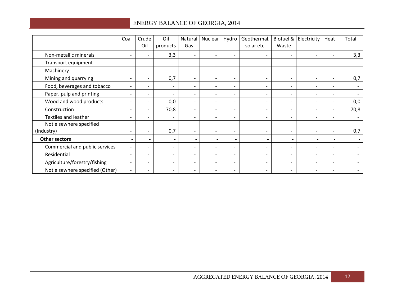|                                 | Coal                     | Crude<br>Oil             | Oil<br>products              | Natural<br>Gas               | Nuclear                  | Hydro                    | Geothermal,<br>solar etc. | Biofuel &<br>Waste           | Electricity              | Heat                         | Total                    |
|---------------------------------|--------------------------|--------------------------|------------------------------|------------------------------|--------------------------|--------------------------|---------------------------|------------------------------|--------------------------|------------------------------|--------------------------|
| Non-metallic minerals           | $\overline{\phantom{a}}$ | $\overline{\phantom{a}}$ | 3,3                          | $\overline{\phantom{a}}$     | $\overline{\phantom{0}}$ | $\overline{\phantom{a}}$ | $\overline{\phantom{0}}$  | $\overline{\phantom{a}}$     | $\overline{\phantom{a}}$ | $\overline{\phantom{0}}$     | 3,3                      |
| Transport equipment             | $\overline{\phantom{a}}$ | $\overline{\phantom{a}}$ | $\overline{\phantom{0}}$     | $\overline{\phantom{a}}$     | $\overline{\phantom{0}}$ | $\overline{\phantom{a}}$ |                           | $\overline{\phantom{a}}$     | $\overline{\phantom{a}}$ | -                            |                          |
| Machinery                       | $\overline{\phantom{a}}$ | $\overline{\phantom{a}}$ | $\qquad \qquad -$            | $\overline{\phantom{0}}$     |                          | $\overline{\phantom{0}}$ |                           | $\overline{\phantom{0}}$     | $\overline{\phantom{0}}$ | $\overline{\phantom{0}}$     |                          |
| Mining and quarrying            | $\overline{\phantom{a}}$ | $-$                      | 0,7                          | $\overline{\phantom{a}}$     |                          | $\overline{\phantom{0}}$ |                           | $\overline{\phantom{0}}$     | $\overline{\phantom{a}}$ | $\overline{\phantom{0}}$     | 0,7                      |
| Food, beverages and tobacco     | $\overline{\phantom{a}}$ | $\overline{\phantom{a}}$ | $\overline{\phantom{0}}$     | $\overline{\phantom{0}}$     |                          |                          |                           | $\overline{\phantom{0}}$     | $\overline{\phantom{a}}$ | $\overline{\phantom{0}}$     |                          |
| Paper, pulp and printing        | $\overline{\phantom{a}}$ | $\overline{\phantom{a}}$ | $\qquad \qquad -$            | $\overline{\phantom{a}}$     | $\overline{\phantom{0}}$ | $\overline{\phantom{0}}$ |                           | $\overline{\phantom{0}}$     | $\overline{\phantom{0}}$ | $\overline{\phantom{0}}$     |                          |
| Wood and wood products          | $\overline{\phantom{a}}$ | $\overline{\phantom{a}}$ | 0,0                          | $\overline{\phantom{a}}$     | $\overline{\phantom{a}}$ | $\overline{\phantom{a}}$ |                           | $\qquad \qquad \blacksquare$ | $\overline{\phantom{0}}$ | -                            | 0,0                      |
| Construction                    | $\overline{\phantom{a}}$ | $\overline{\phantom{a}}$ | 70,8                         | $\overline{\phantom{a}}$     | $\overline{\phantom{a}}$ | $\overline{\phantom{a}}$ | $\overline{\phantom{a}}$  | $\overline{\phantom{a}}$     | $\overline{\phantom{a}}$ | $\qquad \qquad \blacksquare$ | 70,8                     |
| <b>Textiles and leather</b>     | $\overline{\phantom{a}}$ | $\overline{\phantom{0}}$ | $\overline{\phantom{0}}$     | $\overline{\phantom{0}}$     | $\overline{\phantom{0}}$ | $\overline{\phantom{a}}$ | $\overline{\phantom{0}}$  | $\qquad \qquad -$            | $\overline{\phantom{a}}$ | $\overline{\phantom{0}}$     | $\overline{\phantom{0}}$ |
| Not elsewhere specified         |                          |                          |                              |                              |                          |                          |                           |                              |                          |                              |                          |
| (Industry)                      | $\overline{\phantom{a}}$ | $\overline{\phantom{a}}$ | 0,7                          | $\overline{\phantom{a}}$     | $\overline{\phantom{a}}$ | $\overline{\phantom{a}}$ |                           | $\qquad \qquad \blacksquare$ | $\overline{\phantom{a}}$ | -                            | 0,7                      |
| <b>Other sectors</b>            | $\blacksquare$           | $\overline{\phantom{a}}$ | $\blacksquare$               | $\qquad \qquad \blacksquare$ |                          | $\overline{\phantom{0}}$ |                           |                              | $\blacksquare$           | $\overline{\phantom{0}}$     |                          |
| Commercial and public services  | $\overline{\phantom{a}}$ | $\overline{\phantom{a}}$ | $\qquad \qquad -$            | $\overline{\phantom{a}}$     | $\overline{\phantom{0}}$ | $\overline{\phantom{a}}$ |                           | $\overline{\phantom{a}}$     | $\overline{\phantom{a}}$ | $\qquad \qquad \blacksquare$ |                          |
| Residential                     | $\overline{\phantom{a}}$ | $\overline{\phantom{a}}$ | $\qquad \qquad \blacksquare$ | $\overline{\phantom{a}}$     | $\overline{\phantom{0}}$ | $\overline{\phantom{a}}$ | $\overline{\phantom{0}}$  | $\overline{\phantom{a}}$     | $\overline{\phantom{a}}$ | $\qquad \qquad \blacksquare$ |                          |
| Agriculture/forestry/fishing    | $\overline{\phantom{a}}$ | $\overline{\phantom{a}}$ | -                            | $\overline{\phantom{a}}$     |                          | $\overline{\phantom{a}}$ |                           | $\qquad \qquad \blacksquare$ | $\overline{\phantom{a}}$ | -                            |                          |
| Not elsewhere specified (Other) | $\overline{\phantom{a}}$ | $\overline{\phantom{a}}$ | $\qquad \qquad -$            | $\overline{\phantom{a}}$     | $\overline{\phantom{0}}$ | $\overline{\phantom{0}}$ |                           | $\qquad \qquad \blacksquare$ | $\overline{\phantom{a}}$ | $\qquad \qquad \blacksquare$ |                          |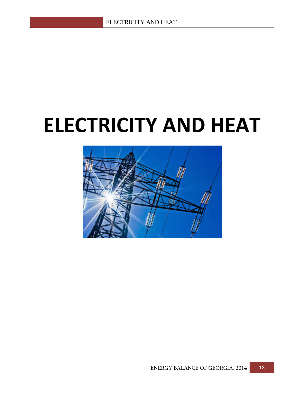## **ELECTRICITY AND HEAT**

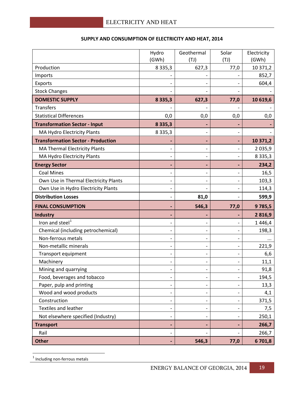|                                           | Hydro       | Geothermal               | Solar | Electricity |
|-------------------------------------------|-------------|--------------------------|-------|-------------|
|                                           | (GWh)       | (TJ)                     | (TJ)  | (GWh)       |
| Production                                | 8 3 3 5 , 3 | 627,3                    | 77,0  | 10 371,2    |
| Imports                                   |             |                          |       | 852,7       |
| Exports                                   |             |                          |       | 604,4       |
| <b>Stock Changes</b>                      |             |                          |       |             |
| <b>DOMESTIC SUPPLY</b>                    | 8 3 3 5 , 3 | 627,3                    | 77,0  | 10 619,6    |
| <b>Transfers</b>                          |             |                          |       |             |
| <b>Statistical Differences</b>            | 0,0         | 0,0                      | 0,0   | 0,0         |
| <b>Transformation Sector - Input</b>      | 8 3 3 5 , 3 |                          |       |             |
| MA Hydro Electricity Plants               | 8 3 3 5 , 3 |                          |       |             |
| <b>Transformation Sector - Production</b> |             |                          |       | 10 371,2    |
| <b>MA Thermal Electricity Plants</b>      |             | $\overline{\phantom{0}}$ |       | 2 0 3 5, 9  |
| MA Hydro Electricity Plants               |             |                          |       | 8 3 3 5 , 3 |
| <b>Energy Sector</b>                      |             |                          |       | 234,2       |
| <b>Coal Mines</b>                         |             |                          |       | 16,5        |
| Own Use in Thermal Electricity Plants     |             |                          |       | 103,3       |
| Own Use in Hydro Electricity Plants       |             |                          |       | 114,3       |
| <b>Distribution Losses</b>                |             | 81,0                     |       | 599,9       |
| <b>FINAL CONSUMPTION</b>                  |             | 546,3                    | 77,0  | 9785,5      |
| <b>Industry</b>                           |             |                          |       | 2816,9      |
| Iron and steel <sup>1</sup>               |             |                          |       | 1446,4      |
| Chemical (including petrochemical)        |             |                          |       | 198,3       |
| Non-ferrous metals                        |             |                          |       | $\cdots$    |
| Non-metallic minerals                     |             |                          |       | 221,9       |
| Transport equipment                       |             | $\qquad \qquad -$        | -     | 6,6         |
| Machinery                                 |             |                          |       | 11,1        |
| Mining and quarrying                      |             |                          |       | 91,8        |
| Food, beverages and tobacco               |             |                          |       | 194,5       |
| Paper, pulp and printing                  |             |                          |       | 13,3        |
| Wood and wood products                    |             |                          |       | 4,1         |
| Construction                              |             |                          |       | 371,5       |
| Textiles and leather                      |             |                          |       | 7,5         |
| Not elsewhere specified (Industry)        |             |                          |       | 250,1       |
| <b>Transport</b>                          |             |                          |       | 266,7       |
| Rail                                      |             |                          |       | 266,7       |
| <b>Other</b>                              |             | 546,3                    | 77,0  | 6701,8      |

#### **SUPPLY AND CONSUMPTION OF ELECTRICITY AND HEAT, 2014**

<span id="page-19-0"></span> $<sup>1</sup>$  Including non-ferrous metals</sup>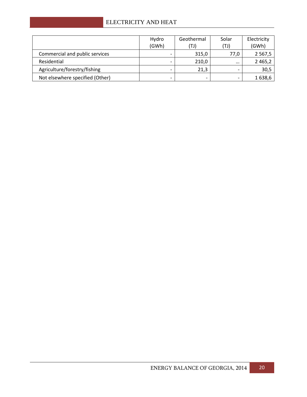#### ELECTRICITY AND HEAT

|                                 | Hydro<br>(GWh) | Geothermal<br>(TJ) | Solar<br>(TJ) | Electricity<br>(GWh) |
|---------------------------------|----------------|--------------------|---------------|----------------------|
| Commercial and public services  |                | 315,0              | 77,0          | 2 5 6 7, 5           |
| Residential                     |                | 210,0              | $\cdots$      | 2 4 6 5 , 2          |
| Agriculture/forestry/fishing    |                | 21,3               |               | 30,5                 |
| Not elsewhere specified (Other) |                |                    |               | 1638,6               |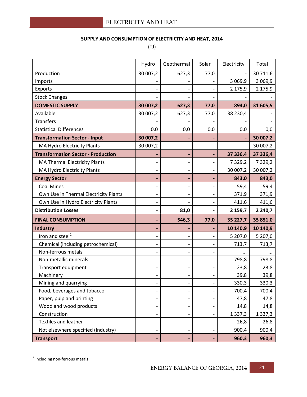#### **SUPPLY AND CONSUMPTION OF ELECTRICITY AND HEAT, 2014**

(TJ)

|                                           | Hydro                        | Geothermal               | Solar                    | Electricity | Total       |
|-------------------------------------------|------------------------------|--------------------------|--------------------------|-------------|-------------|
| Production                                | 30 007,2                     | 627,3                    | 77,0                     |             | 30 711,6    |
| Imports                                   |                              |                          |                          | 3 0 6 9, 9  | 3 0 6 9, 9  |
| Exports                                   |                              |                          |                          | 2 175,9     | 2 175,9     |
| <b>Stock Changes</b>                      |                              |                          |                          |             |             |
| <b>DOMESTIC SUPPLY</b>                    | 30 007,2                     | 627,3                    | 77,0                     | 894,0       | 31 605,5    |
| Available                                 | 30 007,2                     | 627,3                    | 77,0                     | 38 230,4    |             |
| <b>Transfers</b>                          |                              |                          |                          |             |             |
| <b>Statistical Differences</b>            | 0,0                          | 0,0                      | 0,0                      | 0,0         | 0,0         |
| <b>Transformation Sector - Input</b>      | 30 007,2                     |                          |                          |             | 30 007,2    |
| MA Hydro Electricity Plants               | 30 007,2                     |                          |                          |             | 30 007,2    |
| <b>Transformation Sector - Production</b> |                              |                          |                          | 37 336,4    | 37 336,4    |
| MA Thermal Electricity Plants             |                              |                          |                          | 7 3 2 9 , 2 | 7 3 2 9 , 2 |
| MA Hydro Electricity Plants               | $\overline{\phantom{a}}$     | $\overline{\phantom{a}}$ | -                        | 30 007,2    | 30 007,2    |
| <b>Energy Sector</b>                      | $\overline{\phantom{0}}$     | $\blacksquare$           |                          | 843,0       | 843,0       |
| <b>Coal Mines</b>                         |                              |                          |                          | 59,4        | 59,4        |
| Own Use in Thermal Electricity Plants     | $\qquad \qquad -$            |                          |                          | 371,9       | 371,9       |
| Own Use in Hydro Electricity Plants       | $\overline{\phantom{a}}$     |                          |                          | 411,6       | 411,6       |
| <b>Distribution Losses</b>                | $\overline{\phantom{a}}$     | 81,0                     |                          | 2 159,7     | 2 2 4 0 , 7 |
| <b>FINAL CONSUMPTION</b>                  | $\overline{\phantom{0}}$     | 546,3                    | 77,0                     | 35 227,7    | 35 851,0    |
| <b>Industry</b>                           |                              |                          |                          | 10 140,9    | 10 140,9    |
| Iron and steel <sup>2</sup>               | $\overline{\phantom{0}}$     |                          |                          | 5 207,0     | 5 207,0     |
| Chemical (including petrochemical)        | $\overline{\phantom{a}}$     |                          |                          | 713,7       | 713,7       |
| Non-ferrous metals                        | $\overline{\phantom{a}}$     | $\overline{\phantom{a}}$ |                          |             |             |
| Non-metallic minerals                     | $\overline{\phantom{a}}$     |                          |                          | 798,8       | 798,8       |
| Transport equipment                       |                              |                          |                          | 23,8        | 23,8        |
| Machinery                                 | $\overline{\phantom{0}}$     |                          |                          | 39,8        | 39,8        |
| Mining and quarrying                      |                              |                          |                          | 330,3       | 330,3       |
| Food, beverages and tobacco               | $\qquad \qquad -$            |                          |                          | 700,4       | 700,4       |
| Paper, pulp and printing                  | $\overline{\phantom{a}}$     | $\overline{\phantom{a}}$ |                          | 47,8        | 47,8        |
| Wood and wood products                    | $\qquad \qquad \blacksquare$ |                          |                          | 14,8        | 14,8        |
| Construction                              | $\overline{\phantom{0}}$     |                          |                          | 1 3 3 7 , 3 | 1 3 3 7 , 3 |
| <b>Textiles and leather</b>               | $\overline{\phantom{0}}$     | $\overline{\phantom{a}}$ |                          | 26,8        | 26,8        |
| Not elsewhere specified (Industry)        | $\overline{\phantom{a}}$     | $\overline{\phantom{a}}$ | $\overline{\phantom{a}}$ | 900,4       | 900,4       |
| <b>Transport</b>                          | ٠                            | ٠                        | ٠                        | 960,3       | 960,3       |

<span id="page-21-0"></span><sup>&</sup>lt;sup>2</sup> Including non-ferrous metals **.**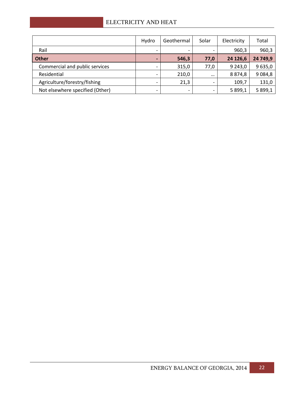|                                 | Hydro                        | Geothermal               | Solar    | Electricity | Total      |
|---------------------------------|------------------------------|--------------------------|----------|-------------|------------|
| Rail                            | $\qquad \qquad \blacksquare$ | $\overline{\phantom{a}}$ |          | 960,3       | 960,3      |
| <b>Other</b>                    | $\blacksquare$               | 546,3                    | 77,0     | 24 126,6    | 24 749,9   |
| Commercial and public services  | $\overline{\phantom{0}}$     | 315,0                    | 77,0     | 9 243,0     | 9 635,0    |
| Residential                     |                              | 210,0                    | $\cdots$ | 8 8 7 4, 8  | 9 0 8 4, 8 |
| Agriculture/forestry/fishing    | $\overline{\phantom{0}}$     | 21,3                     |          | 109,7       | 131,0      |
| Not elsewhere specified (Other) | $\overline{\phantom{a}}$     | $\overline{\phantom{a}}$ |          | 5 899,1     | 5 899,1    |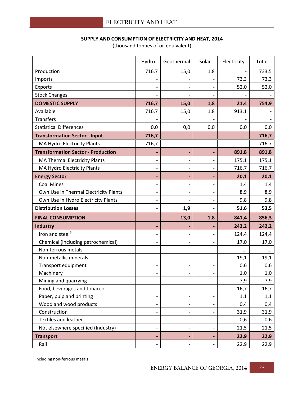**SUPPLY AND CONSUMPTION OF ELECTRICITY AND HEAT, 2014**

|                                           | Hydro                        | Geothermal                   | Solar                        | Electricity | Total |
|-------------------------------------------|------------------------------|------------------------------|------------------------------|-------------|-------|
| Production                                | 716,7                        | 15,0                         | 1,8                          |             | 733,5 |
| Imports                                   |                              |                              |                              | 73,3        | 73,3  |
| Exports                                   |                              |                              |                              | 52,0        | 52,0  |
| <b>Stock Changes</b>                      |                              |                              |                              |             |       |
| <b>DOMESTIC SUPPLY</b>                    | 716,7                        | 15,0                         | 1,8                          | 21,4        | 754,9 |
| Available                                 | 716,7                        | 15,0                         | 1,8                          | 913,1       |       |
| <b>Transfers</b>                          |                              |                              |                              |             |       |
| <b>Statistical Differences</b>            | 0,0                          | 0,0                          | 0,0                          | 0,0         | 0,0   |
| <b>Transformation Sector - Input</b>      | 716,7                        | ٠                            |                              |             | 716,7 |
| MA Hydro Electricity Plants               | 716,7                        | $\overline{\phantom{a}}$     |                              |             | 716,7 |
| <b>Transformation Sector - Production</b> |                              | ٠                            |                              | 891,8       | 891,8 |
| <b>MA Thermal Electricity Plants</b>      | $\overline{\phantom{a}}$     | $\overline{\phantom{a}}$     |                              | 175,1       | 175,1 |
| MA Hydro Electricity Plants               | $\overline{\phantom{a}}$     | $\overline{\phantom{a}}$     |                              | 716,7       | 716,7 |
| <b>Energy Sector</b>                      | $\overline{\phantom{0}}$     | $\blacksquare$               |                              | 20,1        | 20,1  |
| <b>Coal Mines</b>                         | $\overline{\phantom{a}}$     | $\overline{\phantom{a}}$     | $\overline{\phantom{a}}$     | 1,4         | 1,4   |
| Own Use in Thermal Electricity Plants     | $\overline{\phantom{a}}$     | $\overline{\phantom{a}}$     |                              | 8,9         | 8,9   |
| Own Use in Hydro Electricity Plants       | $\overline{a}$               |                              |                              | 9,8         | 9,8   |
| <b>Distribution Losses</b>                | $\overline{\phantom{0}}$     | 1,9                          |                              | 51,6        | 53,5  |
| <b>FINAL CONSUMPTION</b>                  | $\overline{\phantom{0}}$     | 13,0                         | 1,8                          | 841,4       | 856,3 |
| <b>Industry</b>                           | $\blacksquare$               |                              |                              | 242,2       | 242,2 |
| Iron and steel <sup>3</sup>               | $\overline{a}$               | $\qquad \qquad -$            |                              | 124,4       | 124,4 |
| Chemical (including petrochemical)        | $\qquad \qquad -$            | $\overline{\phantom{a}}$     |                              | 17,0        | 17,0  |
| Non-ferrous metals                        | $\qquad \qquad \blacksquare$ | $\overline{\phantom{0}}$     | $\qquad \qquad \blacksquare$ | $\cdots$    |       |
| Non-metallic minerals                     | -                            | $\overline{\phantom{a}}$     |                              | 19,1        | 19,1  |
| Transport equipment                       | $\qquad \qquad \blacksquare$ | $\qquad \qquad \blacksquare$ |                              | 0,6         | 0,6   |
| Machinery                                 |                              | $\qquad \qquad -$            |                              | 1,0         | 1,0   |
| Mining and quarrying                      | $\overline{\phantom{0}}$     | $\qquad \qquad -$            | $\overline{\phantom{a}}$     | 7,9         | 7,9   |
| Food, beverages and tobacco               | $\overline{\phantom{0}}$     | $\overline{\phantom{a}}$     |                              | 16,7        | 16,7  |
| Paper, pulp and printing                  | -                            | $\qquad \qquad \blacksquare$ |                              | 1,1         | 1,1   |
| Wood and wood products                    | $\overline{\phantom{0}}$     | $\overline{\phantom{0}}$     |                              | 0,4         | 0,4   |
| Construction                              | $\qquad \qquad \blacksquare$ | $\overline{\phantom{a}}$     |                              | 31,9        | 31,9  |
| Textiles and leather                      | $\qquad \qquad \blacksquare$ | $\qquad \qquad \blacksquare$ |                              | 0,6         | 0,6   |
| Not elsewhere specified (Industry)        | $\overline{\phantom{0}}$     | $\qquad \qquad \blacksquare$ |                              | 21,5        | 21,5  |
| <b>Transport</b>                          | ٠                            | ٠                            | $\blacksquare$               | 22,9        | 22,9  |
| Rail                                      | $\overline{\phantom{0}}$     | $\qquad \qquad \blacksquare$ |                              | 22,9        | 22,9  |

(thousand tonnes of oil equivalent)

<span id="page-23-0"></span> $3$  Including non-ferrous metals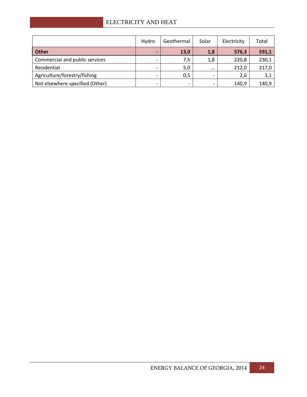|                                 | Hydro                    | Geothermal | Solar    | Electricity | Total |
|---------------------------------|--------------------------|------------|----------|-------------|-------|
| Other                           | $\blacksquare$           | 13,0       | 1,8      | 576,3       | 591,1 |
| Commercial and public services  | -                        | 7,5        | 1,8      | 220,8       | 230,1 |
| Residential                     | $\overline{\phantom{a}}$ | 5,0        | $\cdots$ | 212,0       | 217,0 |
| Agriculture/forestry/fishing    |                          | 0,5        |          | 2,6         | 3,1   |
| Not elsewhere specified (Other) | -                        |            |          | 140,9       | 140,9 |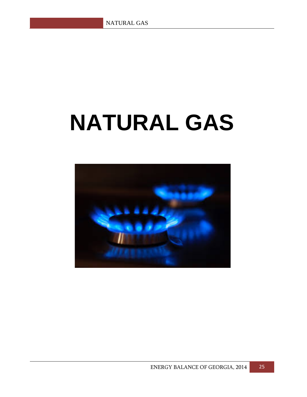## **NATURAL GAS**

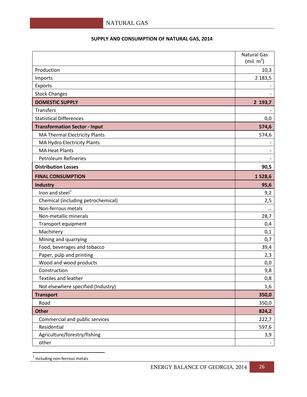#### **SUPPLY AND CONSUMPTION OF NATURAL GAS, 2014**

|                                      | <b>Natural Gas</b><br>(min m <sup>3</sup> ) |
|--------------------------------------|---------------------------------------------|
| Production                           | 10,3                                        |
| Imports                              | 2 183,5                                     |
| Exports                              |                                             |
| <b>Stock Changes</b>                 |                                             |
| <b>DOMESTIC SUPPLY</b>               | 2 193,7                                     |
| <b>Transfers</b>                     |                                             |
| <b>Statistical Differences</b>       | 0,0                                         |
| <b>Transformation Sector - Input</b> | 574,6                                       |
| <b>MA Thermal Electricity Plants</b> | 574,6                                       |
| MA Hydro Electricity Plants          |                                             |
| <b>MA Heat Plants</b>                |                                             |
| <b>Petroleum Refineries</b>          |                                             |
| <b>Distribution Losses</b>           | 90,5                                        |
| <b>FINAL CONSUMPTION</b>             | 1528,6                                      |
| <b>Industry</b>                      | 95,6                                        |
| Iron and steel <sup>1</sup>          | 9,2                                         |
| Chemical (including petrochemical)   | 2,5                                         |
| Non-ferrous metals                   | $\cdots$                                    |
| Non-metallic minerals                | 28,7                                        |
| Transport equipment                  | 0,4                                         |
| Machinery                            | 0,1                                         |
| Mining and quarrying                 | 0,7                                         |
| Food, beverages and tobacco          | 39,4                                        |
| Paper, pulp and printing             | 2,3                                         |
| Wood and wood products               | 0,0                                         |
| Construction                         | 9,8                                         |
| <b>Textiles and leather</b>          | 0,8                                         |
| Not elsewhere specified (Industry)   | 1,6                                         |
| <b>Transport</b>                     | 350,0                                       |
| Road                                 | 350,0                                       |
| <b>Other</b>                         | 824,2                                       |
| Commercial and public services       | 222,7                                       |
| Residential                          | 597,6                                       |
| Agriculture/forestry/fishing         | 3,9                                         |
| other                                |                                             |

<span id="page-26-0"></span> $<sup>1</sup>$  Including non-ferrous metals</sup>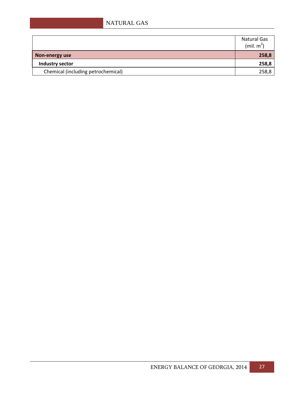#### NATURAL GAS

|                                    | <b>Natural Gas</b><br>(mil. $m^3$ ) |
|------------------------------------|-------------------------------------|
| Non-energy use                     | 258,8                               |
| Industry sector                    | 258,8                               |
| Chemical (including petrochemical) | 258,8                               |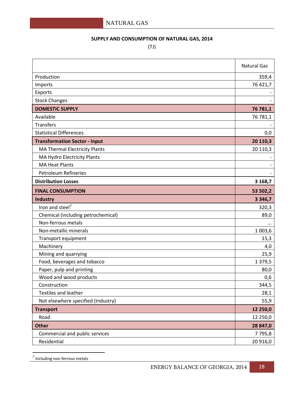#### **SUPPLY AND CONSUMPTION OF NATURAL GAS, 2014**

(TJ)

|                                      | <b>Natural Gas</b> |
|--------------------------------------|--------------------|
| Production                           | 359,4              |
| Imports                              | 76 421,7           |
| Exports                              |                    |
| <b>Stock Changes</b>                 |                    |
| <b>DOMESTIC SUPPLY</b>               | 76 781,1           |
| Available                            | 76 781,1           |
| <b>Transfers</b>                     |                    |
| <b>Statistical Differences</b>       | 0,0                |
| <b>Transformation Sector - Input</b> | 20 110,3           |
| <b>MA Thermal Electricity Plants</b> | 20 110,3           |
| MA Hydro Electricity Plants          |                    |
| <b>MA Heat Plants</b>                |                    |
| <b>Petroleum Refineries</b>          |                    |
| <b>Distribution Losses</b>           | 3 168,7            |
| <b>FINAL CONSUMPTION</b>             | 53 502,2           |
| Industry                             | 3 3 4 6,7          |
| Iron and steel <sup>2</sup>          | 320,3              |
| Chemical (including petrochemical)   | 89,0               |
| Non-ferrous metals                   |                    |
| Non-metallic minerals                | 1 0 0 3,6          |
| Transport equipment                  | 15,3               |
| Machinery                            | 4,0                |
| Mining and quarrying                 | 25,9               |
| Food, beverages and tobacco          | 1 379,5            |
| Paper, pulp and printing             | 80,0               |
| Wood and wood products               | 0,6                |
| Construction                         | 344,5              |
| <b>Textiles and leather</b>          | 28,1               |
| Not elsewhere specified (Industry)   | 55,9               |
| <b>Transport</b>                     | 12 250,0           |
| Road                                 | 12 250,0           |
| <b>Other</b>                         | 28 847,0           |
| Commercial and public services       | 7 7 9 5, 8         |
| Residential                          | 20 916,0           |

<span id="page-28-0"></span><sup>2</sup> Including non-ferrous metals **.**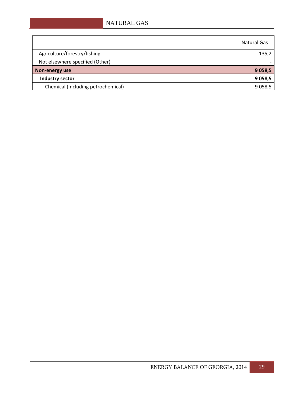#### NATURAL GAS

|                                    | <b>Natural Gas</b> |
|------------------------------------|--------------------|
| Agriculture/forestry/fishing       | 135,2              |
| Not elsewhere specified (Other)    |                    |
| Non-energy use                     | 9 0 58,5           |
| Industry sector                    | 9 0 58,5           |
| Chemical (including petrochemical) | 9 0 58,5           |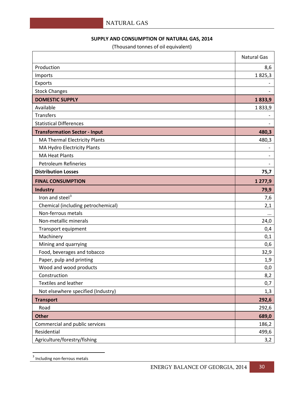#### **SUPPLY AND CONSUMPTION OF NATURAL GAS, 2014**

(Thousand tonnes of oil equivalent)

|                                      | <b>Natural Gas</b> |
|--------------------------------------|--------------------|
| Production                           | 8,6                |
| Imports                              | 1825,3             |
| Exports                              |                    |
| <b>Stock Changes</b>                 |                    |
| <b>DOMESTIC SUPPLY</b>               | 1833,9             |
| Available                            | 1833,9             |
| <b>Transfers</b>                     |                    |
| <b>Statistical Differences</b>       |                    |
| <b>Transformation Sector - Input</b> | 480,3              |
| <b>MA Thermal Electricity Plants</b> | 480,3              |
| MA Hydro Electricity Plants          |                    |
| <b>MA Heat Plants</b>                |                    |
| <b>Petroleum Refineries</b>          |                    |
| <b>Distribution Losses</b>           | 75,7               |
| <b>FINAL CONSUMPTION</b>             | 1 277,9            |
| <b>Industry</b>                      | 79,9               |
| Iron and steel <sup>3</sup>          | 7,6                |
| Chemical (including petrochemical)   | 2,1                |
| Non-ferrous metals                   | $\cdots$           |
| Non-metallic minerals                | 24,0               |
| Transport equipment                  | 0,4                |
| Machinery                            | 0,1                |
| Mining and quarrying                 | 0,6                |
| Food, beverages and tobacco          | 32,9               |
| Paper, pulp and printing             | 1,9                |
| Wood and wood products               | 0,0                |
| Construction                         | 8,2                |
| <b>Textiles and leather</b>          | 0,7                |
| Not elsewhere specified (Industry)   | 1,3                |
| <b>Transport</b>                     | 292,6              |
| Road                                 | 292,6              |
| <b>Other</b>                         | 689,0              |
| Commercial and public services       | 186,2              |
| Residential                          | 499,6              |
| Agriculture/forestry/fishing         | 3,2                |

<span id="page-30-0"></span> $3$  Including non-ferrous metals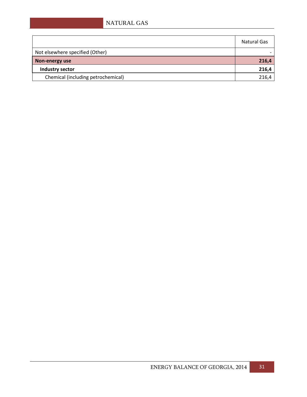|                                    | Natural Gas |
|------------------------------------|-------------|
| Not elsewhere specified (Other)    |             |
| Non-energy use                     | 216,4       |
| Industry sector                    | 216,4       |
| Chemical (including petrochemical) | 216,4       |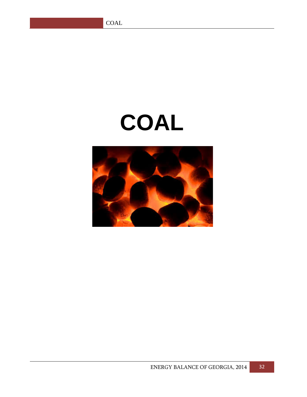## **COAL**

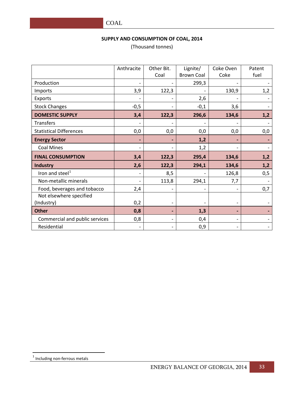#### **SUPPLY AND CONSUMPTION OF COAL, 2014**

(Thousand tonnes)

|                                | Anthracite | Other Bit. | Lignite/          | Coke Oven | Patent |
|--------------------------------|------------|------------|-------------------|-----------|--------|
|                                |            | Coal       | <b>Brown Coal</b> | Coke      | fuel   |
| Production                     |            |            | 299,3             |           |        |
| Imports                        | 3,9        | 122,3      |                   | 130,9     | 1,2    |
| Exports                        |            |            | 2,6               |           |        |
| <b>Stock Changes</b>           | $-0,5$     |            | $-0,1$            | 3,6       |        |
| <b>DOMESTIC SUPPLY</b>         | 3,4        | 122,3      | 296,6             | 134,6     | 1,2    |
| <b>Transfers</b>               |            |            |                   |           |        |
| <b>Statistical Differences</b> | 0,0        | 0,0        | 0,0               | 0,0       | 0,0    |
| <b>Energy Sector</b>           |            |            | 1,2               |           |        |
| <b>Coal Mines</b>              |            |            | 1,2               |           |        |
| <b>FINAL CONSUMPTION</b>       | 3,4        | 122,3      | 295,4             | 134,6     | 1,2    |
| <b>Industry</b>                | 2,6        | 122,3      | 294,1             | 134,6     | 1,2    |
| Iron and steel <sup>1</sup>    |            | 8,5        |                   | 126,8     | 0,5    |
| Non-metallic minerals          |            | 113,8      | 294,1             | 7,7       |        |
| Food, beverages and tobacco    | 2,4        |            |                   |           | 0,7    |
| Not elsewhere specified        |            |            |                   |           |        |
| (Industry)                     | 0,2        |            |                   |           |        |
| <b>Other</b>                   | 0,8        |            | 1,3               |           |        |
| Commercial and public services | 0,8        |            | 0,4               |           |        |
| Residential                    |            |            | 0,9               |           |        |

<span id="page-33-0"></span> $<sup>1</sup>$  Including non-ferrous metals</sup>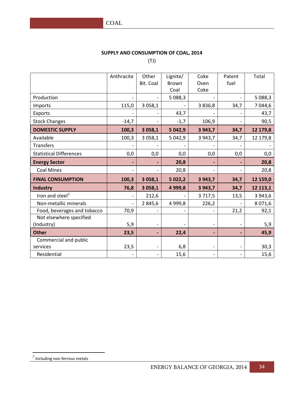#### **SUPPLY AND CONSUMPTION OF COAL, 2014**

(TJ)

|                                | Anthracite | Other                    | Lignite/     | Coke                     | Patent            | Total     |
|--------------------------------|------------|--------------------------|--------------|--------------------------|-------------------|-----------|
|                                |            | Bit. Coal                | <b>Brown</b> | Oven                     | fuel              |           |
|                                |            |                          | Coal         | Coke                     |                   |           |
| Production                     |            |                          | 5 0 8 8 , 3  |                          |                   | 5 0 88,3  |
| Imports                        | 115,0      | 3 0 58,1                 |              | 3 8 3 6, 8               | 34,7              | 7 044,6   |
| Exports                        |            |                          | 43,7         |                          |                   | 43,7      |
| <b>Stock Changes</b>           | $-14,7$    |                          | $-1,7$       | 106,9                    |                   | 90,5      |
| <b>DOMESTIC SUPPLY</b>         | 100,3      | 3 0 58,1                 | 5 042,9      | 3 9 4 3 , 7              | 34,7              | 12 179,8  |
| Available                      | 100,3      | 3 0 58,1                 | 5 0 4 2, 9   | 3 9 4 3 , 7              | 34,7              | 12 179,8  |
| Transfers                      |            |                          |              |                          |                   |           |
| <b>Statistical Differences</b> | 0,0        | 0,0                      | 0,0          | 0,0                      | 0,0               | 0,0       |
| <b>Energy Sector</b>           |            |                          | 20,8         | $\blacksquare$           | ٠                 | 20,8      |
| <b>Coal Mines</b>              |            |                          | 20,8         | $\overline{\phantom{a}}$ |                   | 20,8      |
| <b>FINAL CONSUMPTION</b>       | 100,3      | 3 058,1                  | 5 0 2 2, 2   | 3 9 4 3 , 7              | 34,7              | 12 159,0  |
| <b>Industry</b>                | 76,8       | 3 058,1                  | 4 9 9 9,8    | 3 9 4 3 , 7              | 34,7              | 12 113,1  |
| Iron and steel <sup>2</sup>    |            | 212,6                    |              | 3 7 1 7,5                | 13,5              | 3 943,6   |
| Non-metallic minerals          |            | 2 845,6                  | 4 9 9 9, 8   | 226,2                    |                   | 8 0 7 1,6 |
| Food, beverages and tobacco    | 70,9       |                          |              |                          | 21,2              | 92,1      |
| Not elsewhere specified        |            |                          |              |                          |                   |           |
| (Industry)                     | 5,9        | $\overline{\phantom{a}}$ |              | $\overline{\phantom{a}}$ | $\qquad \qquad -$ | 5,9       |
| <b>Other</b>                   | 23,5       |                          | 22,4         | $\blacksquare$           |                   | 45,9      |
| Commercial and public          |            |                          |              |                          |                   |           |
| services                       | 23,5       | $\overline{\phantom{a}}$ | 6,8          | $\overline{\phantom{a}}$ |                   | 30,3      |
| Residential                    |            | $\overline{\phantom{a}}$ | 15,6         | $\overline{\phantom{a}}$ |                   | 15,6      |

<span id="page-34-0"></span><sup>&</sup>lt;sup>2</sup> Including non-ferrous metals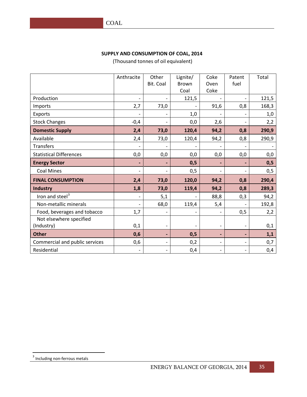#### **SUPPLY AND CONSUMPTION OF COAL, 2014**

(Thousand tonnes of oil equivalent)

|                                | Anthracite               | Other                        | Lignite/          | Coke                     | Patent                   | Total |
|--------------------------------|--------------------------|------------------------------|-------------------|--------------------------|--------------------------|-------|
|                                |                          | Bit. Coal                    | Brown             | Oven                     | fuel                     |       |
|                                |                          |                              | Coal              | Coke                     |                          |       |
| Production                     | $\overline{a}$           |                              | 121,5             |                          |                          | 121,5 |
| Imports                        | 2,7                      | 73,0                         |                   | 91,6                     | 0,8                      | 168,3 |
| Exports                        |                          |                              | 1,0               |                          |                          | 1,0   |
| <b>Stock Changes</b>           | $-0,4$                   | $\qquad \qquad \blacksquare$ | 0,0               | 2,6                      |                          | 2,2   |
| <b>Domestic Supply</b>         | 2,4                      | 73,0                         | 120,4             | 94,2                     | 0,8                      | 290,9 |
| Available                      | 2,4                      | 73,0                         | 120,4             | 94,2                     | 0,8                      | 290,9 |
| Transfers                      |                          |                              |                   |                          |                          |       |
| <b>Statistical Differences</b> | 0,0                      | 0,0                          | 0,0               | 0,0                      | 0,0                      | 0,0   |
| <b>Energy Sector</b>           | $\overline{a}$           |                              | 0,5               |                          |                          | 0,5   |
| <b>Coal Mines</b>              | $\overline{\phantom{0}}$ | $\overline{\phantom{0}}$     | 0,5               | $\overline{\phantom{a}}$ | $\overline{\phantom{0}}$ | 0,5   |
| <b>FINAL CONSUMPTION</b>       | 2,4                      | 73,0                         | 120,0             | 94,2                     | 0,8                      | 290,4 |
| <b>Industry</b>                | 1,8                      | 73,0                         | 119,4             | 94,2                     | 0,8                      | 289,3 |
| Iron and steel <sup>3</sup>    |                          | 5,1                          |                   | 88,8                     | 0,3                      | 94,2  |
| Non-metallic minerals          | $\overline{\phantom{0}}$ | 68,0                         | 119,4             | 5,4                      |                          | 192,8 |
| Food, beverages and tobacco    | 1,7                      |                              |                   |                          | 0,5                      | 2,2   |
| Not elsewhere specified        |                          |                              |                   |                          |                          |       |
| (Industry)                     | 0,1                      | $\qquad \qquad \blacksquare$ | $\qquad \qquad -$ | $\overline{\phantom{a}}$ | $\overline{\phantom{0}}$ | 0,1   |
| <b>Other</b>                   | 0,6                      | ÷,                           | 0,5               | $\overline{\phantom{a}}$ | $\overline{\phantom{a}}$ | 1,1   |
| Commercial and public services | 0,6                      | $\qquad \qquad -$            | 0,2               | $\overline{\phantom{0}}$ | $\qquad \qquad -$        | 0,7   |
| Residential                    |                          | $\qquad \qquad \blacksquare$ | 0,4               | $\overline{\phantom{0}}$ | $\overline{\phantom{0}}$ | 0,4   |

<span id="page-35-0"></span> $3$  Including non-ferrous metals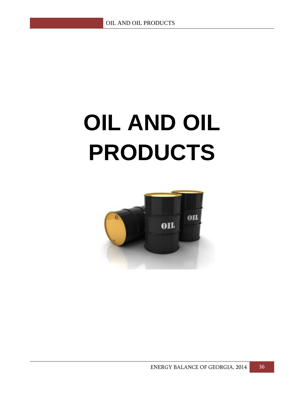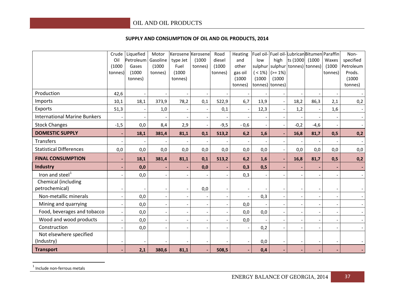#### <span id="page-37-0"></span>**SUPPLY AND CONSUMPTION OF OIL AND OIL PRODUCTS, 2014**

|                                     | Crude                    | Liquefied         | Motor    | Kerosene Kerosene |         | Road    | Heating                  | Fuel oil-                |                          |                          | Fuel oil-LubricanBitumen Paraffin |                          | Non-             |
|-------------------------------------|--------------------------|-------------------|----------|-------------------|---------|---------|--------------------------|--------------------------|--------------------------|--------------------------|-----------------------------------|--------------------------|------------------|
|                                     | Oil                      | Petroleum         | Gasoline | type Jet          | (1000)  | diesel  | and                      | low                      | high                     | ts (1000                 | (1000)                            | Waxes                    | specified        |
|                                     | (1000)                   | Gases             | (1000)   | Fuel              | tonnes) | (1000)  | other                    | sulphur                  |                          |                          | sulphur tonnes) tonnes)           | (1000)                   | Petroleum        |
|                                     | tonnes)                  | (1000)<br>tonnes) | tonnes)  | (1000)<br>tonnes) |         | tonnes) | gas oil<br>(1000)        | $( < 1\%)$<br>(1000)     | $(>= 1\%)$<br>(1000)     |                          |                                   | tonnes)                  | Prods.<br>(1000) |
|                                     |                          |                   |          |                   |         |         | tonnes)                  |                          | tonnes) tonnes)          |                          |                                   |                          | tonnes)          |
| Production                          | 42,6                     |                   |          |                   |         |         |                          |                          |                          |                          |                                   |                          |                  |
| Imports                             | 10,1                     | 18,1              | 373,9    | 78,2              | 0,1     | 522,9   | 6,7                      | 13,9                     | $\overline{\phantom{a}}$ | 18,2                     | 86,3                              | 2,1                      | 0,2              |
| Exports                             | 51,3                     |                   | 1,0      |                   |         | 0,1     |                          | 12,3                     |                          | 1,2                      |                                   | 1,6                      |                  |
| <b>International Marine Bunkers</b> |                          |                   |          |                   |         |         |                          |                          |                          |                          |                                   |                          |                  |
| <b>Stock Changes</b>                | $-1,5$                   | 0,0               | 8,4      | 2,9               |         | $-9,5$  | $-0,6$                   | $\overline{\phantom{a}}$ |                          | $-0,2$                   | $-4,6$                            |                          |                  |
| <b>DOMESTIC SUPPLY</b>              | $\overline{\phantom{a}}$ | 18,1              | 381,4    | 81,1              | 0,1     | 513,2   | 6,2                      | 1,6                      | $\blacksquare$           | 16,8                     | 81,7                              | 0,5                      | 0,2              |
| Transfers                           |                          |                   |          |                   |         |         |                          |                          |                          |                          |                                   |                          |                  |
| <b>Statistical Differences</b>      | 0,0                      | 0,0               | 0,0      | 0,0               | 0,0     | 0,0     | 0,0                      | 0,0                      | $\overline{\phantom{a}}$ | 0,0                      | 0,0                               | 0,0                      | 0,0              |
| <b>FINAL CONSUMPTION</b>            |                          | 18,1              | 381,4    | 81,1              | 0,1     | 513,2   | 6,2                      | 1,6                      |                          | 16,8                     | 81,7                              | 0,5                      | 0,2              |
| Industry                            |                          | 0,0               |          |                   | 0,0     |         | 0,3                      | 0,5                      |                          |                          |                                   |                          |                  |
| Iron and steel <sup>1</sup>         |                          | 0,0               |          |                   |         |         | 0,3                      |                          |                          |                          |                                   |                          |                  |
| Chemical (including                 |                          |                   |          |                   |         |         |                          |                          |                          |                          |                                   |                          |                  |
| petrochemical)                      |                          |                   |          |                   | 0,0     |         |                          |                          |                          |                          |                                   |                          |                  |
| Non-metallic minerals               | $\overline{\phantom{a}}$ | 0,0               |          |                   |         |         |                          | 0,3                      | $\sim$                   | $\overline{\phantom{a}}$ |                                   |                          |                  |
| Mining and quarrying                | $\overline{\phantom{a}}$ | 0,0               |          |                   |         |         | 0,0                      |                          | $\overline{\phantom{a}}$ |                          |                                   | $\overline{\phantom{a}}$ |                  |
| Food, beverages and tobacco         | $\overline{\phantom{a}}$ | 0,0               |          |                   |         |         | 0,0                      | 0,0                      |                          |                          |                                   |                          |                  |
| Wood and wood products              | $\overline{\phantom{a}}$ | 0,0               |          |                   |         |         | 0,0                      |                          |                          |                          |                                   |                          |                  |
| Construction                        |                          | 0,0               |          |                   |         |         |                          | 0,2                      |                          |                          |                                   |                          |                  |
| Not elsewhere specified             |                          |                   |          |                   |         |         |                          |                          |                          |                          |                                   |                          |                  |
| (Industry)                          |                          |                   |          |                   |         |         | $\overline{\phantom{a}}$ | 0,0                      |                          |                          |                                   |                          |                  |
| <b>Transport</b>                    |                          | 2,1               | 380,6    | 81,1              |         | 508,5   |                          | 0,4                      |                          |                          |                                   |                          |                  |

 $<sup>1</sup>$  Include non-ferrous metals</sup>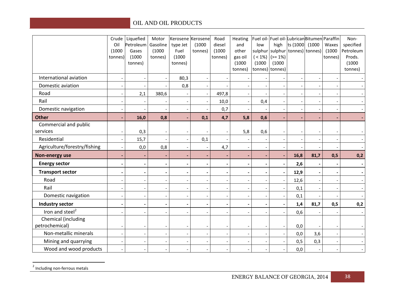<span id="page-38-0"></span>

|                              | Crude                    | Liquefied         | Motor                    | Kerosene Kerosene        |                          | Road                     | Heating                  |                          |                             |                          | Fuel oil-Fuel oil-LubricanBitumen Paraffin |                          | Non-                |
|------------------------------|--------------------------|-------------------|--------------------------|--------------------------|--------------------------|--------------------------|--------------------------|--------------------------|-----------------------------|--------------------------|--------------------------------------------|--------------------------|---------------------|
|                              | Oil                      | Petroleum         | Gasoline                 | type Jet                 | (1000)                   | diesel                   | and                      | low                      | high                        | ts (1000                 | (1000)                                     | Waxes                    | specified           |
|                              | (1000)                   | Gases             | (1000)                   | Fuel                     | tonnes)                  | (1000)                   | other                    | sulphur                  |                             | sulphur tonnes) tonnes)  |                                            | (1000)                   | Petroleum<br>Prods. |
|                              | tonnes)                  | (1000)<br>tonnes) | tonnes)                  | (1000)<br>tonnes)        |                          | tonnes)                  | gas oil<br>(1000)        | (1000)                   | $(< 1\%)$ (>= 1%)<br>(1000) |                          |                                            | tonnes)                  | (1000)              |
|                              |                          |                   |                          |                          |                          |                          | tonnes)                  | tonnes) tonnes)          |                             |                          |                                            |                          | tonnes)             |
| International aviation       |                          |                   |                          | 80,3                     |                          |                          |                          |                          |                             | $\overline{\phantom{a}}$ |                                            |                          |                     |
| Domestic aviation            |                          |                   |                          | 0,8                      |                          |                          |                          |                          |                             |                          |                                            |                          |                     |
| Road                         |                          | 2,1               | 380,6                    |                          | $\overline{\phantom{a}}$ | 497,8                    | $\overline{\phantom{a}}$ |                          | $\overline{\phantom{a}}$    | $\overline{\phantom{a}}$ | $\overline{\phantom{a}}$                   |                          |                     |
| Rail                         |                          |                   |                          | $\overline{\phantom{a}}$ | $\overline{\phantom{a}}$ | 10,0                     | $\overline{\phantom{a}}$ | 0,4                      | $\overline{\phantom{a}}$    | $\overline{\phantom{a}}$ | $\overline{\phantom{a}}$                   | $\overline{\phantom{a}}$ |                     |
| Domestic navigation          |                          |                   |                          |                          |                          | 0,7                      | $\overline{a}$           |                          | $\overline{a}$              | $\overline{\phantom{a}}$ | $\overline{\phantom{a}}$                   |                          |                     |
| <b>Other</b>                 |                          | 16,0              | 0,8                      | $\overline{\phantom{a}}$ | 0,1                      | 4,7                      | 5,8                      | 0,6                      | $\blacksquare$              | $\overline{\phantom{a}}$ | $\overline{\phantom{a}}$                   |                          |                     |
| Commercial and public        |                          |                   |                          |                          |                          |                          |                          |                          |                             |                          |                                            |                          |                     |
| services                     |                          | 0,3               |                          |                          |                          |                          | 5,8                      | 0,6                      |                             |                          |                                            |                          |                     |
| Residential                  |                          | 15,7              |                          | $\overline{\phantom{a}}$ | 0,1                      |                          | $\overline{\phantom{a}}$ | $\overline{\phantom{a}}$ | $\overline{\phantom{a}}$    | $\overline{\phantom{a}}$ | $\overline{\phantom{a}}$                   |                          |                     |
| Agriculture/forestry/fishing | $\overline{a}$           | 0,0               | 0,8                      | $\overline{\phantom{a}}$ | $\overline{\phantom{a}}$ | 4,7                      | $\overline{\phantom{a}}$ | $\overline{\phantom{a}}$ | $\overline{\phantom{a}}$    | $\overline{\phantom{a}}$ | $-$                                        |                          |                     |
| Non-energy use               | $\overline{\phantom{a}}$ |                   |                          |                          |                          |                          | $\blacksquare$           | $\blacksquare$           | $\blacksquare$              | 16,8                     | 81,7                                       | 0,5                      | 0,2                 |
| <b>Energy sector</b>         |                          |                   | $\overline{\phantom{a}}$ |                          |                          |                          | $\overline{\phantom{a}}$ | $\blacksquare$           | $\blacksquare$              | 2,6                      | $\blacksquare$                             |                          |                     |
| <b>Transport sector</b>      |                          |                   |                          |                          |                          |                          | $\overline{\phantom{a}}$ | $\blacksquare$           | $\blacksquare$              | 12,9                     | $\blacksquare$                             |                          |                     |
| Road                         |                          |                   |                          |                          |                          |                          | $\overline{\phantom{a}}$ | $\overline{\phantom{a}}$ | $\overline{\phantom{a}}$    | 12,6                     | $\overline{\phantom{a}}$                   |                          |                     |
| Rail                         |                          |                   | $\overline{\phantom{0}}$ | $\overline{\phantom{a}}$ | $\overline{\phantom{a}}$ | $\overline{\phantom{a}}$ | $\overline{\phantom{a}}$ | $\overline{\phantom{a}}$ | $\overline{\phantom{a}}$    | 0,1                      | $\overline{\phantom{a}}$                   | $\overline{\phantom{a}}$ |                     |
| Domestic navigation          |                          |                   |                          |                          |                          |                          | $\overline{a}$           | $\overline{\phantom{a}}$ | $\overline{\phantom{a}}$    | 0,1                      |                                            |                          |                     |
| <b>Industry sector</b>       |                          |                   |                          |                          |                          | $\overline{\phantom{a}}$ | $\overline{\phantom{a}}$ | $\blacksquare$           | $\blacksquare$              | 1,4                      | 81,7                                       | 0,5                      | 0,2                 |
| Iron and steel <sup>2</sup>  |                          |                   |                          |                          |                          |                          | $\overline{a}$           |                          |                             | 0,6                      |                                            |                          |                     |
| Chemical (including          |                          |                   |                          |                          |                          |                          |                          |                          |                             |                          |                                            |                          |                     |
| petrochemical)               |                          |                   |                          |                          | $\overline{\phantom{a}}$ | $\overline{\phantom{a}}$ | $\overline{\phantom{a}}$ | $\overline{\phantom{a}}$ | $\overline{\phantom{a}}$    | 0,0                      |                                            | $\overline{\phantom{a}}$ |                     |
| Non-metallic minerals        |                          |                   |                          |                          |                          | $\overline{\phantom{a}}$ | $\blacksquare$           | $\overline{\phantom{a}}$ | $\overline{\phantom{a}}$    | 0,0                      | 3,6                                        |                          |                     |
| Mining and quarrying         |                          |                   |                          |                          |                          |                          | $\overline{a}$           | $\overline{\phantom{a}}$ | $\overline{\phantom{a}}$    | 0,5                      | 0,3                                        |                          |                     |
| Wood and wood products       |                          |                   |                          |                          |                          |                          | $\overline{\phantom{a}}$ | $\qquad \qquad -$        |                             | 0,0                      | $\overline{\phantom{a}}$                   |                          |                     |

<sup>2</sup> Including non-ferrous metals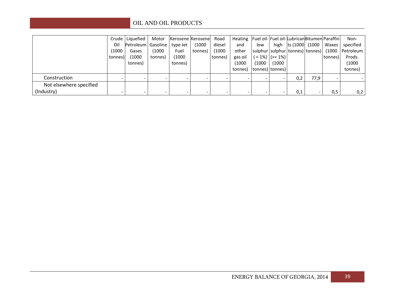|                         |         | Crude Liquefied               | Motor   | Kerosene Kerosene |         | Road    | Heating   Fuel oil-  Fuel oil-  Lubrican  Bitumen  Paraffin |                 |                          |     |                          |         | Non-                                              |
|-------------------------|---------|-------------------------------|---------|-------------------|---------|---------|-------------------------------------------------------------|-----------------|--------------------------|-----|--------------------------|---------|---------------------------------------------------|
|                         | Oil     | Petroleum Gasoline   type Jet |         |                   | (1000)  | diesel  | and                                                         | low             |                          |     | high $ ts(1000  (1000)$  | Waxes   | specified                                         |
|                         | (1000   | Gases                         | (1000)  | Fuel              | tonnes) | (1000)  | other                                                       |                 |                          |     |                          |         | sulphur sulphur tonnes) tonnes)  (1000  Petroleum |
|                         | tonnes) | (1000                         | tonnes) | (1000)            |         | tonnes) | gas oil                                                     |                 | ( < 1%)  (>= 1%)         |     |                          | tonnes) | Prods.                                            |
|                         |         | tonnes)                       |         | tonnes)           |         |         | (1000)                                                      | (1000)          | (1000                    |     |                          |         | (1000                                             |
|                         |         |                               |         |                   |         |         | tonnes)                                                     | tonnes) tonnes) |                          |     |                          |         | tonnes)                                           |
| Construction            |         |                               |         |                   |         |         |                                                             |                 |                          | 0,2 | 77,9                     |         |                                                   |
| Not elsewhere specified |         |                               |         |                   |         |         |                                                             |                 |                          |     |                          |         |                                                   |
| (Industry)              |         | -                             |         |                   | -       |         |                                                             | -               | $\overline{\phantom{a}}$ | 0,1 | $\overline{\phantom{a}}$ | 0,5     | 0,2                                               |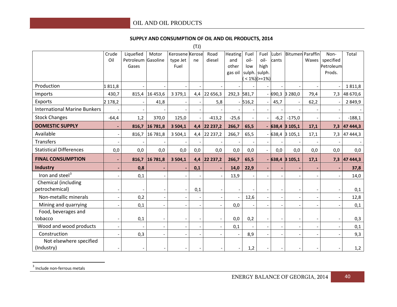#### **SUPPLY AND CONSUMPTION OF OIL AND OIL PRODUCTS, 2014**

<span id="page-40-0"></span>(TJ)

|                                       | Crude<br>Oil | Liquefied<br>Petroleum Gasoline<br>Gases | Motor                    | Kerosene Kerose<br>type Jet<br>Fuel | ne  | Road<br>diesel | Heating<br>and<br>other<br>gas oil | Fuel<br>oil-<br>low | Fuel<br>oil-<br>high<br>sulph. sulph.<br>$< 1\%$ )(>=1%) | Lubri<br>cants |                          | <b>Bitumen</b> Paraffin<br>Waxes | Non-<br>specified<br>Petroleum<br>Prods. | Total          |
|---------------------------------------|--------------|------------------------------------------|--------------------------|-------------------------------------|-----|----------------|------------------------------------|---------------------|----------------------------------------------------------|----------------|--------------------------|----------------------------------|------------------------------------------|----------------|
| Production                            | 1811,8       |                                          |                          |                                     |     |                |                                    |                     |                                                          |                |                          |                                  |                                          | 1811,8         |
| Imports                               | 430,7        |                                          | 815,4 16 453,6           | 3 3 7 9 , 1                         | 4,4 | 22 656,3       | 292,3 581,7                        |                     |                                                          |                | 690,3 3 280,0            | 79,4                             | 7,3                                      | 48 670,6       |
| Exports                               | 2 178,2      |                                          | 41,8                     |                                     |     | 5,8            |                                    | $-516,2$            |                                                          | 45,7           |                          | 62,2                             |                                          | 2 8 4 9, 9     |
| <b>International Marine Bunkers</b>   |              |                                          |                          |                                     |     |                |                                    |                     |                                                          |                |                          | $\overline{\phantom{a}}$         |                                          |                |
| <b>Stock Changes</b>                  | $-64,4$      | 1,2                                      | 370,0                    | 125,0                               |     | $-413,2$       | $-25,6$                            |                     |                                                          | $-6,2$         | $-175,0$                 |                                  |                                          | $-188,1$       |
| <b>DOMESTIC SUPPLY</b>                | $\sim$       |                                          | 816,7 16 781,8           | 3 5 0 4, 1                          | 4,4 | 22 237,2       | 266,7                              | 65,5                |                                                          |                | - 638,4 3 105,1          | 17,1                             |                                          | $7,3$ 47 444,3 |
| Available                             |              |                                          | 816,7 16 781,8           | 3 5 0 4, 1                          | 4,4 | 22 237,2       | 266,7                              | 65,5                |                                                          |                | $-638,4$ 3 105,1         | 17,1                             |                                          | 7,3 47 444,3   |
| Transfers                             |              |                                          |                          |                                     |     |                |                                    |                     | $\overline{\phantom{a}}$                                 |                |                          |                                  |                                          |                |
| <b>Statistical Differences</b>        | 0,0          | 0,0                                      | 0,0                      | 0,0                                 | 0,0 | 0,0            | 0,0                                | 0,0                 |                                                          | 0,0            | 0,0                      | 0,0                              | 0,0                                      | 0,0            |
| <b>FINAL CONSUMPTION</b>              |              |                                          | 816,7 16 781,8           | 3 5 0 4, 1                          | 4,4 | 22 237,2       | 266,7                              | 65,5                |                                                          |                | $-638,4$ 3 105,1         | 17,1                             |                                          | $7,3$ 47 444,3 |
| <b>Industry</b>                       |              | 0,8                                      |                          |                                     | 0,1 |                | 14,0                               | 22,9                |                                                          |                |                          |                                  |                                          | 37,8           |
| Iron and steel <sup>3</sup>           |              | 0,1                                      |                          |                                     |     |                | 13,9                               |                     |                                                          |                |                          |                                  |                                          | 14,0           |
| Chemical (including<br>petrochemical) |              |                                          |                          |                                     | 0,1 |                |                                    |                     |                                                          |                |                          |                                  |                                          | 0,1            |
| Non-metallic minerals                 |              | 0,2                                      |                          |                                     |     |                |                                    | 12,6                |                                                          |                |                          |                                  |                                          | 12,8           |
| Mining and quarrying                  |              | 0,1                                      |                          |                                     |     |                | 0,0                                |                     |                                                          |                |                          |                                  |                                          | 0,1            |
| Food, beverages and<br>tobacco        |              | 0,1                                      |                          |                                     |     |                | 0,0                                | 0,2                 |                                                          |                |                          |                                  |                                          | 0,3            |
| Wood and wood products                |              |                                          | $\overline{\phantom{a}}$ |                                     |     |                | 0,1                                |                     |                                                          |                | $\overline{\phantom{a}}$ | $\overline{\phantom{a}}$         |                                          | 0,1            |
| Construction                          |              | 0,3                                      | $\overline{\phantom{a}}$ |                                     |     |                |                                    | 8,9                 |                                                          |                |                          |                                  |                                          | 9,3            |
| Not elsewhere specified<br>(Industry) |              |                                          |                          |                                     |     |                |                                    | 1,2                 |                                                          |                |                          |                                  |                                          | 1,2            |

 $3$  Include non-ferrous metals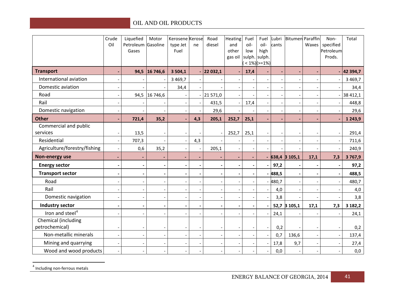<span id="page-41-0"></span>

|                                       | Crude<br>Oil | Liquefied<br>Petroleum Gasoline | Motor                        | Kerosene Kerose<br>type Jet | ne  | Road<br>diesel | Heating<br>and           | Fuel<br>oil- | Fuel<br>oil-                                   | Lubri<br>cants | <b>Bitumen</b> Paraffin  | Waxes                    | Non-<br>specified   | Total       |
|---------------------------------------|--------------|---------------------------------|------------------------------|-----------------------------|-----|----------------|--------------------------|--------------|------------------------------------------------|----------------|--------------------------|--------------------------|---------------------|-------------|
|                                       |              | Gases                           |                              | Fuel                        |     |                | other<br>gas oil         | low          | high<br>sulph. sulph.<br>$< 1\%$ )( $>= 1\%$ ) |                |                          |                          | Petroleum<br>Prods. |             |
| <b>Transport</b>                      |              |                                 | 94,5 16 746,6                | 3 5 0 4, 1                  |     | 22 032,1       |                          | 17,4         |                                                |                |                          |                          |                     | 42 394,7    |
| International aviation                |              |                                 |                              | 3 4 6 9, 7                  |     |                |                          |              |                                                |                | $\overline{\phantom{a}}$ | $\overline{\phantom{a}}$ |                     | 3 4 6 9, 7  |
| Domestic aviation                     |              |                                 |                              | 34,4                        |     |                |                          |              |                                                |                | $\overline{\phantom{a}}$ |                          |                     | 34,4        |
| Road                                  |              | 94,5                            | 16 746,6                     |                             |     | 21 571,0       |                          |              |                                                |                | $\overline{\phantom{a}}$ | $\overline{\phantom{a}}$ |                     | 38 412,1    |
| Rail                                  |              |                                 |                              |                             |     | 431,5          |                          | 17,4         |                                                |                |                          |                          |                     | 448,8       |
| Domestic navigation                   |              |                                 |                              |                             |     | 29,6           |                          |              |                                                |                |                          |                          |                     | 29,6        |
| <b>Other</b>                          |              | 721,4                           | 35,2                         |                             | 4,3 | 205,1          | 252,7                    | 25,1         |                                                |                |                          |                          |                     | 1 2 4 3 , 9 |
| Commercial and public<br>services     |              | 13,5                            |                              |                             |     |                | 252,7                    | 25,1         |                                                |                |                          |                          |                     | 291,4       |
| Residential                           |              | 707,3                           |                              | $\overline{\phantom{a}}$    | 4,3 |                |                          |              |                                                |                | $\overline{\phantom{a}}$ | $\overline{\phantom{a}}$ |                     | 711,6       |
| Agriculture/forestry/fishing          |              | 0,6                             | 35,2                         |                             |     | 205,1          |                          |              |                                                |                |                          |                          |                     | 240,9       |
| Non-energy use                        |              |                                 |                              |                             |     |                |                          |              |                                                |                | 638,4 3 105,1            | 17,1                     | 7,3                 | 3767,9      |
| <b>Energy sector</b>                  |              |                                 | $\qquad \qquad \blacksquare$ |                             |     |                | $\overline{\phantom{a}}$ |              |                                                | 97,2           | $\blacksquare$           | $\blacksquare$           |                     | 97,2        |
| <b>Transport sector</b>               |              |                                 |                              |                             |     |                |                          |              |                                                | 488,5          |                          | $\blacksquare$           |                     | 488,5       |
| Road                                  |              |                                 |                              |                             |     |                |                          |              |                                                | 480,7          | $\overline{\phantom{a}}$ | $\blacksquare$           |                     | 480,7       |
| Rail                                  |              |                                 |                              |                             |     |                |                          |              |                                                | 4,0            | $\overline{\phantom{a}}$ | $\overline{\phantom{a}}$ |                     | 4,0         |
| Domestic navigation                   |              |                                 |                              |                             |     |                |                          |              |                                                | 3,8            |                          |                          |                     | 3,8         |
| Industry sector                       |              |                                 |                              |                             |     |                |                          |              |                                                |                | 52,7 3 105,1             | 17,1                     | 7,3                 | 3 182,2     |
| Iron and steel <sup>4</sup>           |              |                                 |                              |                             |     |                |                          |              |                                                | 24,1           |                          |                          |                     | 24,1        |
| Chemical (including<br>petrochemical) |              |                                 |                              | $\overline{\phantom{a}}$    |     |                | $\overline{\phantom{a}}$ |              |                                                | 0,2            |                          | $\overline{\phantom{a}}$ |                     | 0,2         |
| Non-metallic minerals                 |              |                                 |                              |                             |     |                |                          |              |                                                | 0,7            | 136,6                    | $\blacksquare$           |                     | 137,4       |
| Mining and quarrying                  |              |                                 |                              |                             |     |                |                          |              |                                                | 17,8           | 9,7                      | $\overline{\phantom{a}}$ |                     | 27,4        |
| Wood and wood products                |              |                                 |                              |                             |     |                |                          |              |                                                | 0,0            | $\overline{\phantom{a}}$ | $\overline{\phantom{a}}$ |                     | 0,0         |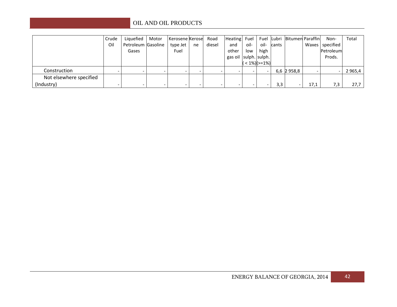|                         | Crude | Liquefied          | Motor | Kerosene Kerose |    | Road   | Heating Fuel          |      |                |       | Fuel Lubri Bitumen Paraffin |                          | Non-              | Total       |
|-------------------------|-------|--------------------|-------|-----------------|----|--------|-----------------------|------|----------------|-------|-----------------------------|--------------------------|-------------------|-------------|
|                         | Oil   | Petroleum Gasoline |       | type Jet        | ne | diesel | and                   | oil- | oil-           | cants |                             |                          | Waxes   specified |             |
|                         |       | Gases              |       | Fuel            |    |        | other                 | low  | high           |       |                             |                          | Petroleum         |             |
|                         |       |                    |       |                 |    |        | gas oil sulph. sulph. |      |                |       |                             |                          | Prods.            |             |
|                         |       |                    |       |                 |    |        |                       |      | $(1\%)$ (>=1%) |       |                             |                          |                   |             |
| Construction            |       | $\sim$             |       |                 |    |        | -                     |      |                |       | 6,6 2 958,8                 | $\overline{\phantom{a}}$ |                   | 2 9 6 5 , 4 |
| Not elsewhere specified |       |                    |       |                 |    |        |                       |      |                |       |                             |                          |                   |             |
| (Industry)              |       |                    |       |                 |    |        |                       |      |                | 3,3   | $\overline{\phantom{0}}$    | 17,1                     | 7.3               | 27,7        |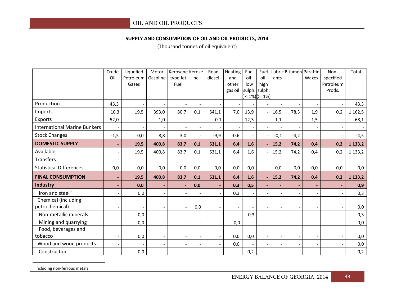#### **SUPPLY AND CONSUMPTION OF OIL AND OIL PRODUCTS, 2014**

<span id="page-43-0"></span>(Thousand tonnes of oil equivalent)

|                                       | Crude<br>Oil | Liquefied<br>Petroleum<br>Gases | Motor<br>Gasoline        | Kerosene Kerose<br>type Jet<br>Fuel | ne                       | Road<br>diesel           | Heating<br>and<br>other<br>gas oil | Fuel<br>oil-<br>low | Fuel<br>oil-<br>high<br>sulph. sulph.<br>$< 1\%$ )( $>= 1\%$ ) | ants   | ubricBitumen Paraffin | Waxes                    | Non-<br>specified<br>Petroleum<br>Prods. | Total       |
|---------------------------------------|--------------|---------------------------------|--------------------------|-------------------------------------|--------------------------|--------------------------|------------------------------------|---------------------|----------------------------------------------------------------|--------|-----------------------|--------------------------|------------------------------------------|-------------|
| Production                            | 43,3         |                                 |                          |                                     |                          |                          |                                    |                     |                                                                |        |                       |                          |                                          | 43,3        |
| Imports                               | 10,3         | 19,5                            | 393,0                    | 80,7                                | 0,1                      | 541,1                    | 7,0                                | 13,9                |                                                                | 16,5   | 78,3                  | 1,9                      | 0,2                                      | 1 1 6 2 , 5 |
| Exports                               | 52,0         |                                 | 1,0                      | $\overline{\phantom{a}}$            |                          | 0,1                      |                                    | 12,3                |                                                                | 1,1    |                       | 1,5                      |                                          | 68,1        |
| <b>International Marine Bunkers</b>   |              |                                 |                          |                                     |                          |                          |                                    |                     |                                                                |        |                       |                          |                                          |             |
| <b>Stock Changes</b>                  | $-1,5$       | 0,0                             | 8,8                      | 3,0                                 |                          | $-9,9$                   | $-0,6$                             |                     |                                                                | $-0,1$ | $-4,2$                |                          |                                          | $-4,5$      |
| <b>DOMESTIC SUPPLY</b>                | ٠            | 19,5                            | 400,8                    | 83,7                                | 0,1                      | 531,1                    | 6,4                                | 1,6                 | $\blacksquare$                                                 | 15,2   | 74,2                  | 0,4                      | 0,2                                      | 1 1 3 3 , 2 |
| Available                             |              | 19,5                            | 400,8                    | 83,7                                | 0,1                      | 531,1                    | 6,4                                | 1,6                 |                                                                | 15,2   | 74,2                  | 0,4                      | 0,2                                      | 1 1 3 3 , 2 |
| <b>Transfers</b>                      |              |                                 |                          |                                     |                          |                          |                                    |                     |                                                                |        |                       |                          |                                          |             |
| <b>Statistical Differences</b>        | 0,0          | 0,0                             | 0,0                      | 0,0                                 | 0,0                      | 0,0                      | 0,0                                | 0,0                 |                                                                | 0,0    | 0,0                   | 0,0                      | 0,0                                      | 0,0         |
| <b>FINAL CONSUMPTION</b>              |              | 19,5                            | 400,8                    | 83,7                                | 0,1                      | 531,1                    | 6,4                                | 1,6                 | $\blacksquare$                                                 | 15,2   | 74,2                  | 0,4                      | 0,2                                      | 1 1 3 3 , 2 |
| Industry                              |              | 0,0                             |                          | $\blacksquare$                      | 0,0                      |                          | 0,3                                | 0,5                 |                                                                |        |                       |                          |                                          | 0,9         |
| Iron and steel <sup>5</sup>           |              | 0,0                             |                          |                                     |                          |                          | 0,3                                |                     |                                                                |        |                       |                          |                                          | 0,3         |
| Chemical (including<br>petrochemical) |              |                                 |                          | $\overline{\phantom{a}}$            | 0,0                      |                          |                                    |                     |                                                                |        |                       |                          |                                          | 0,0         |
| Non-metallic minerals                 |              | 0,0                             |                          | $\overline{\phantom{a}}$            | $\overline{a}$           |                          |                                    | 0,3                 |                                                                |        |                       | $\overline{\phantom{a}}$ |                                          | 0,3         |
| Mining and quarrying                  |              | 0,0                             |                          | $\overline{\phantom{a}}$            |                          |                          | 0,0                                |                     |                                                                |        |                       |                          |                                          | 0,0         |
| Food, beverages and                   |              |                                 |                          |                                     |                          |                          |                                    |                     |                                                                |        |                       |                          |                                          |             |
| tobacco                               |              | 0,0                             |                          | $\overline{\phantom{a}}$            | $\overline{\phantom{a}}$ | $\qquad \qquad -$        | 0,0                                | 0,0                 |                                                                |        |                       | $\overline{\phantom{a}}$ |                                          | 0,0         |
| Wood and wood products                |              |                                 | $\overline{\phantom{a}}$ | $\overline{\phantom{a}}$            |                          | $\overline{\phantom{a}}$ | 0,0                                |                     |                                                                |        |                       | $\overline{\phantom{a}}$ |                                          | 0,0         |
| Construction                          |              | 0,0                             |                          | $\overline{\phantom{a}}$            |                          |                          | $\tilde{\phantom{a}}$              | 0,2                 |                                                                |        |                       | $\overline{\phantom{a}}$ |                                          | 0,2         |

<sup>5</sup> Including non-ferrous metals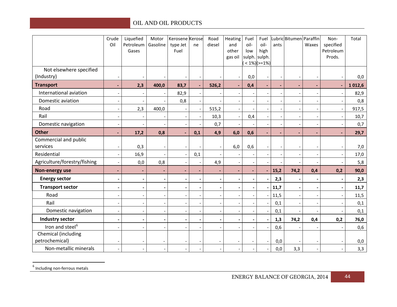<span id="page-44-0"></span>

|                              | Crude<br>Oil             | Liquefied<br>Petroleum | Motor<br>Gasoline        | Kerosene Kerose<br>type Jet | ne                       | Road<br>diesel | Heating<br>and           | Fuel<br>oil-             | Fuel<br>oil-    | ants           | LubricBitumen Paraffin | Waxes                    | Non-<br>specified   | Total  |
|------------------------------|--------------------------|------------------------|--------------------------|-----------------------------|--------------------------|----------------|--------------------------|--------------------------|-----------------|----------------|------------------------|--------------------------|---------------------|--------|
|                              |                          | Gases                  |                          | Fuel                        |                          |                | other<br>gas oil         | low<br>sulph.            | high<br>sulph.  |                |                        |                          | Petroleum<br>Prods. |        |
|                              |                          |                        |                          |                             |                          |                |                          |                          | $< 1\%$ )(>=1%) |                |                        |                          |                     |        |
| Not elsewhere specified      |                          |                        |                          |                             |                          |                |                          |                          |                 |                |                        |                          |                     |        |
| (Industry)                   |                          |                        |                          |                             |                          |                |                          | 0,0                      |                 |                |                        |                          |                     | 0,0    |
| <b>Transport</b>             | $\blacksquare$           | 2,3                    | 400,0                    | 83,7                        | $\blacksquare$           | 526,2          | $\blacksquare$           | 0,4                      | $\blacksquare$  | $\blacksquare$ | $\sim$                 | $\blacksquare$           | $\blacksquare$      | 1012,6 |
| International aviation       |                          |                        |                          | 82,9                        |                          |                |                          |                          |                 |                |                        |                          |                     | 82,9   |
| Domestic aviation            |                          |                        |                          | 0,8                         |                          |                | $\overline{\phantom{a}}$ |                          |                 |                |                        | $\overline{\phantom{a}}$ |                     | 0,8    |
| Road                         |                          | 2,3                    | 400,0                    |                             | $\overline{\phantom{a}}$ | 515,2          | $\overline{\phantom{a}}$ |                          |                 |                |                        | $\overline{\phantom{a}}$ |                     | 917,5  |
| Rail                         |                          |                        |                          |                             |                          | 10,3           | $\overline{\phantom{a}}$ | 0,4                      |                 |                |                        |                          |                     | 10,7   |
| Domestic navigation          |                          |                        |                          |                             |                          | 0,7            |                          |                          |                 |                |                        | $\overline{\phantom{a}}$ |                     | 0,7    |
| <b>Other</b>                 |                          | 17,2                   | 0,8                      | $\sim$                      | 0,1                      | 4,9            | 6,0                      | 0,6                      | L.              |                |                        | $\blacksquare$           |                     | 29,7   |
| Commercial and public        |                          |                        |                          |                             |                          |                |                          |                          |                 |                |                        |                          |                     |        |
| services                     | $\overline{\phantom{a}}$ | 0,3                    | $\overline{\phantom{a}}$ |                             |                          |                | 6,0                      | 0,6                      |                 |                |                        | $\overline{\phantom{a}}$ |                     | 7,0    |
| Residential                  |                          | 16,9                   |                          | $\overline{\phantom{a}}$    | 0,1                      |                |                          |                          |                 |                |                        |                          |                     | 17,0   |
| Agriculture/forestry/fishing |                          | 0,0                    | 0,8                      |                             |                          | 4,9            | $\overline{\phantom{a}}$ |                          |                 |                |                        |                          |                     | 5,8    |
| Non-energy use               |                          |                        | $\overline{\phantom{a}}$ | $\blacksquare$              |                          |                | ٠                        | $\blacksquare$           | ä,              | 15,2           | 74,2                   | 0,4                      | 0,2                 | 90,0   |
| <b>Energy sector</b>         | -                        |                        | $\overline{\phantom{a}}$ | $\blacksquare$              |                          |                | $\blacksquare$           | $\blacksquare$           |                 | 2,3            |                        |                          |                     | 2,3    |
| <b>Transport sector</b>      | -                        |                        | $\overline{\phantom{a}}$ | $\blacksquare$              |                          |                | $\blacksquare$           | $\blacksquare$           |                 | 11,7           |                        | $\overline{\phantom{a}}$ |                     | 11,7   |
| Road                         |                          |                        |                          | $\overline{\phantom{a}}$    |                          |                | $\overline{\phantom{a}}$ |                          |                 | 11,5           |                        |                          |                     | 11,5   |
| Rail                         |                          |                        | $\overline{\phantom{a}}$ |                             |                          |                |                          |                          |                 | 0,1            |                        |                          |                     | 0,1    |
| Domestic navigation          | $\frac{1}{2}$            |                        | $\overline{\phantom{a}}$ | $\overline{\phantom{a}}$    |                          | $\overline{a}$ | $\overline{\phantom{a}}$ | $\blacksquare$           |                 | 0,1            |                        |                          |                     | 0,1    |
| <b>Industry sector</b>       | $\overline{\phantom{a}}$ |                        | $\overline{\phantom{a}}$ | $\blacksquare$              |                          |                | $\blacksquare$           | $\overline{\phantom{a}}$ |                 | 1,3            | 74,2                   | 0,4                      | 0,2                 | 76,0   |
| Iron and steel <sup>6</sup>  | $\overline{\phantom{a}}$ |                        |                          |                             |                          |                | $\overline{\phantom{a}}$ |                          |                 | 0,6            |                        |                          |                     | 0,6    |
| Chemical (including          |                          |                        |                          |                             |                          |                |                          |                          |                 |                |                        |                          |                     |        |
| petrochemical)               |                          |                        | $\blacksquare$           | $\overline{a}$              |                          |                |                          |                          |                 | 0,0            |                        | $\overline{\phantom{a}}$ |                     | 0,0    |
| Non-metallic minerals        |                          |                        | $\overline{\phantom{a}}$ |                             |                          |                | $\blacksquare$           |                          |                 | 0,0            | 3,3                    | $\overline{\phantom{a}}$ |                     | 3,3    |

 $<sup>6</sup>$  Including non-ferrous metals</sup>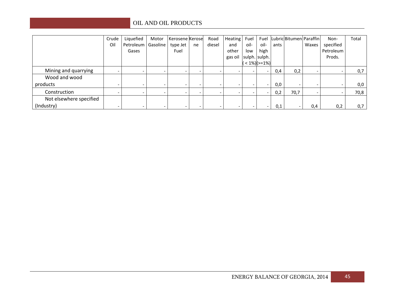|                         | Crude                    | Liquefied            | Motor | Kerosene Kerose          |    | Road                     | Heating Fuel |                          |                          |      | Fuel Lubric Bitumen Paraffin |       | Non-      | Total |
|-------------------------|--------------------------|----------------------|-------|--------------------------|----|--------------------------|--------------|--------------------------|--------------------------|------|------------------------------|-------|-----------|-------|
|                         | Oil                      | Petroleum   Gasoline |       | type Jet                 | ne | diesel                   | and          | oil-                     | oil-                     | ants |                              | Waxes | specified |       |
|                         |                          | Gases                |       | Fuel                     |    |                          | other        | low                      | high                     |      |                              |       | Petroleum |       |
|                         |                          |                      |       |                          |    |                          | gas oil      |                          | sulph. sulph.            |      |                              |       | Prods.    |       |
|                         |                          |                      |       |                          |    |                          |              |                          | $< 1\%$ )( $>= 1\%$ )    |      |                              |       |           |       |
| Mining and quarrying    | -                        |                      |       |                          |    |                          |              |                          |                          | 0,4  | 0,2                          |       |           | 0,7   |
| Wood and wood           |                          |                      |       |                          |    |                          |              |                          |                          |      |                              |       |           |       |
| products                | -                        |                      |       | $\overline{\phantom{0}}$ |    | $\overline{\phantom{a}}$ |              |                          |                          | 0,0  |                              |       |           | 0,0   |
| Construction            | $\overline{\phantom{0}}$ |                      |       | -                        |    |                          |              |                          |                          | 0,2  | 70,7                         |       |           | 70,8  |
| Not elsewhere specified |                          |                      |       |                          |    |                          |              |                          |                          |      |                              |       |           |       |
| (Industry)              | $\overline{\phantom{0}}$ |                      |       | -                        |    | $\overline{\phantom{a}}$ |              | $\overline{\phantom{0}}$ | $\overline{\phantom{0}}$ | 0,1  |                              | 0,4   | 0,2       | 0,7   |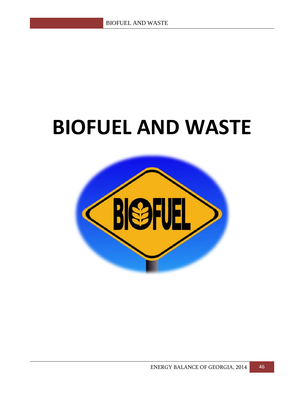### **BIOFUEL AND WASTE**

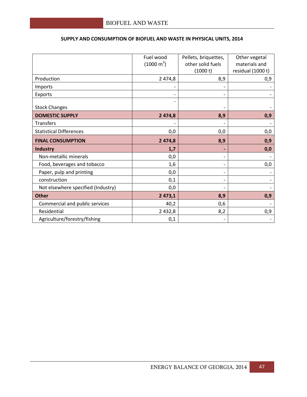|                                    | Fuel wood<br>$(1000 \text{ m}^3)$ | Pellets, briquettes,<br>other solid fuels | Other vegetal<br>materials and |
|------------------------------------|-----------------------------------|-------------------------------------------|--------------------------------|
|                                    |                                   | (1000 t)                                  | residual (1000 t)              |
| Production                         | 2 474,8                           | 8,9                                       | 0,9                            |
| Imports                            |                                   |                                           |                                |
| Exports                            |                                   |                                           |                                |
| <b>Stock Changes</b>               |                                   |                                           |                                |
| <b>DOMESTIC SUPPLY</b>             | 2 474,8                           | 8,9                                       | 0,9                            |
| <b>Transfers</b>                   |                                   |                                           |                                |
| <b>Statistical Differences</b>     | 0,0                               | 0,0                                       | 0,0                            |
| <b>FINAL CONSUMPTION</b>           | 2 474,8                           | 8,9                                       | 0,9                            |
| <b>Industry</b>                    | 1,7                               |                                           | 0,0                            |
| Non-metallic minerals              | 0,0                               |                                           |                                |
| Food, beverages and tobacco        | 1,6                               |                                           | 0,0                            |
| Paper, pulp and printing           | 0,0                               |                                           |                                |
| construction                       | 0,1                               |                                           |                                |
| Not elsewhere specified (Industry) | 0,0                               |                                           |                                |
| <b>Other</b>                       | 2 473,1                           | 8,9                                       | 0,9                            |
| Commercial and public services     | 40,2                              | 0,6                                       |                                |
| Residential                        | 2 4 3 2 , 8                       | 8,2                                       | 0,9                            |
| Agriculture/forestry/fishing       | 0,1                               |                                           |                                |

#### **SUPPLY AND CONSUMPTION OF BIOFUEL AND WASTE IN PHYSICAL UNITS, 2014**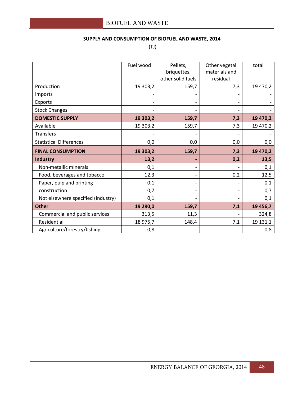#### **SUPPLY AND CONSUMPTION OF BIOFUEL AND WASTE, 2014**

(TJ)

|                                    | Fuel wood | Pellets,          | Other vegetal | total    |
|------------------------------------|-----------|-------------------|---------------|----------|
|                                    |           | briquettes,       | materials and |          |
|                                    |           | other solid fuels | residual      |          |
| Production                         | 19 303,2  | 159,7             | 7,3           | 19 470,2 |
| Imports                            |           |                   |               |          |
| Exports                            |           |                   |               |          |
| <b>Stock Changes</b>               |           |                   |               |          |
| <b>DOMESTIC SUPPLY</b>             | 19 303,2  | 159,7             | 7,3           | 19 470,2 |
| Available                          | 19 303,2  | 159,7             | 7,3           | 19 470,2 |
| Transfers                          |           |                   |               |          |
| <b>Statistical Differences</b>     | 0,0       | 0,0               | 0,0           | 0,0      |
| <b>FINAL CONSUMPTION</b>           | 19 303,2  | 159,7             | 7,3           | 19 470,2 |
| <b>Industry</b>                    | 13,2      |                   | 0,2           | 13,5     |
| Non-metallic minerals              | 0,1       |                   |               | 0,1      |
| Food, beverages and tobacco        | 12,3      |                   | 0,2           | 12,5     |
| Paper, pulp and printing           | 0,1       |                   |               | 0,1      |
| construction                       | 0,7       |                   |               | 0,7      |
| Not elsewhere specified (Industry) | 0,1       |                   |               | 0,1      |
| <b>Other</b>                       | 19 290,0  | 159,7             | 7,1           | 19 456,7 |
| Commercial and public services     | 313,5     | 11,3              |               | 324,8    |
| Residential                        | 18 975,7  | 148,4             | 7,1           | 19 131,1 |
| Agriculture/forestry/fishing       | 0,8       |                   |               | 0,8      |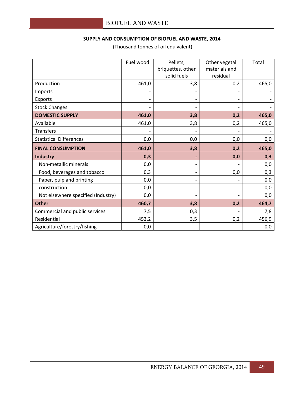#### **SUPPLY AND CONSUMPTION OF BIOFUEL AND WASTE, 2014**

|                                    | Fuel wood                | Pellets,<br>briquettes, other | Other vegetal<br>materials and | Total |
|------------------------------------|--------------------------|-------------------------------|--------------------------------|-------|
|                                    |                          | solid fuels                   | residual                       |       |
| Production                         | 461,0                    | 3,8                           | 0,2                            | 465,0 |
| Imports                            |                          |                               |                                |       |
| Exports                            | $\overline{\phantom{a}}$ |                               |                                |       |
| <b>Stock Changes</b>               |                          |                               |                                |       |
| <b>DOMESTIC SUPPLY</b>             | 461,0                    | 3,8                           | 0,2                            | 465,0 |
| Available                          | 461,0                    | 3,8                           | 0,2                            | 465,0 |
| <b>Transfers</b>                   |                          |                               |                                |       |
| <b>Statistical Differences</b>     | 0,0                      | 0,0                           | 0,0                            | 0,0   |
| <b>FINAL CONSUMPTION</b>           | 461,0                    | 3,8                           | 0,2                            | 465,0 |
| Industry                           | 0,3                      |                               | 0,0                            | 0,3   |
| Non-metallic minerals              | 0,0                      | $\overline{\phantom{0}}$      |                                | 0,0   |
| Food, beverages and tobacco        | 0,3                      | $\overline{\phantom{0}}$      | 0,0                            | 0,3   |
| Paper, pulp and printing           | 0,0                      |                               |                                | 0,0   |
| construction                       | 0,0                      | $\overline{\phantom{0}}$      |                                | 0,0   |
| Not elsewhere specified (Industry) | 0,0                      |                               |                                | 0,0   |
| <b>Other</b>                       | 460,7                    | 3,8                           | 0,2                            | 464,7 |
| Commercial and public services     | 7,5                      | 0,3                           |                                | 7,8   |
| Residential                        | 453,2                    | 3,5                           | 0,2                            | 456,9 |
| Agriculture/forestry/fishing       | 0,0                      |                               |                                | 0,0   |

(Thousand tonnes of oil equivalent)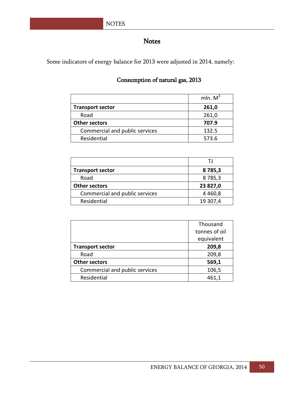#### Notes

Some indicators of energy balance for 2013 were adjusted in 2014, namely:

#### Consumption of natural gas, 2013

|                                | mln. $M^3$ |
|--------------------------------|------------|
| <b>Transport sector</b>        | 261,0      |
| Road                           | 261,0      |
| <b>Other sectors</b>           | 707.9      |
| Commercial and public services | 132.5      |
| Residential                    | 573.6      |

|                                | ΤI        |
|--------------------------------|-----------|
| <b>Transport sector</b>        | 8785,3    |
| Road                           | 8785,3    |
| <b>Other sectors</b>           | 23 827,0  |
| Commercial and public services | 4 4 6 0,8 |
| Residential                    | 19 307,4  |

|                                | Thousand      |
|--------------------------------|---------------|
|                                | tonnes of oil |
|                                | equivalent    |
| <b>Transport sector</b>        | 209,8         |
| Road                           | 209,8         |
| <b>Other sectors</b>           | 569,1         |
| Commercial and public services | 106,5         |
| Residential                    | 461,1         |